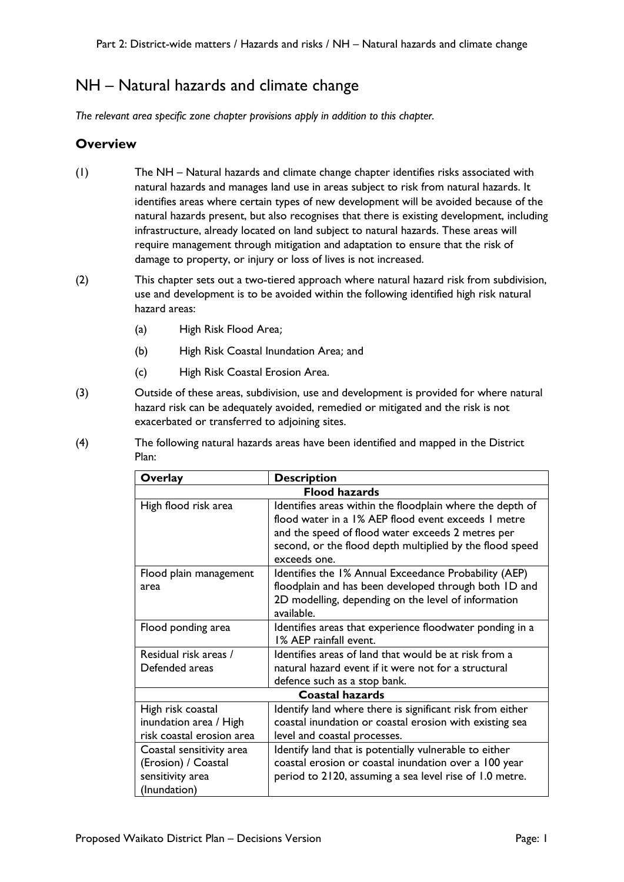# NH – Natural hazards and climate change

*The relevant area specific zone chapter provisions apply in addition to this chapter.*

#### **Overview**

- (1) The NH Natural hazards and climate change chapter identifies risks associated with natural hazards and manages land use in areas subject to risk from natural hazards. It identifies areas where certain types of new development will be avoided because of the natural hazards present, but also recognises that there is existing development, including infrastructure, already located on land subject to natural hazards. These areas will require management through mitigation and adaptation to ensure that the risk of damage to property, or injury or loss of lives is not increased.
- (2) This chapter sets out a two-tiered approach where natural hazard risk from subdivision, use and development is to be avoided within the following identified high risk natural hazard areas:
	- (a) High Risk Flood Area;
	- (b) High Risk Coastal Inundation Area; and
	- (c) High Risk Coastal Erosion Area.
- (3) Outside of these areas, subdivision, use and development is provided for where natural hazard risk can be adequately avoided, remedied or mitigated and the risk is not exacerbated or transferred to adjoining sites.
- (4) The following natural hazards areas have been identified and mapped in the District Plan:

| Overlay                   | <b>Description</b>                                        |  |
|---------------------------|-----------------------------------------------------------|--|
| <b>Flood hazards</b>      |                                                           |  |
| High flood risk area      | Identifies areas within the floodplain where the depth of |  |
|                           | flood water in a 1% AEP flood event exceeds 1 metre       |  |
|                           | and the speed of flood water exceeds 2 metres per         |  |
|                           | second, or the flood depth multiplied by the flood speed  |  |
|                           | exceeds one.                                              |  |
| Flood plain management    | Identifies the 1% Annual Exceedance Probability (AEP)     |  |
| area                      | floodplain and has been developed through both ID and     |  |
|                           | 2D modelling, depending on the level of information       |  |
|                           | available.                                                |  |
| Flood ponding area        | Identifies areas that experience floodwater ponding in a  |  |
|                           | 1% AEP rainfall event.                                    |  |
| Residual risk areas /     | Identifies areas of land that would be at risk from a     |  |
| Defended areas            | natural hazard event if it were not for a structural      |  |
|                           | defence such as a stop bank.                              |  |
|                           | <b>Coastal hazards</b>                                    |  |
| High risk coastal         | Identify land where there is significant risk from either |  |
| inundation area / High    | coastal inundation or coastal erosion with existing sea   |  |
| risk coastal erosion area | level and coastal processes.                              |  |
| Coastal sensitivity area  | Identify land that is potentially vulnerable to either    |  |
| (Erosion) / Coastal       | coastal erosion or coastal inundation over a 100 year     |  |
| sensitivity area          | period to 2120, assuming a sea level rise of 1.0 metre.   |  |
| (Inundation)              |                                                           |  |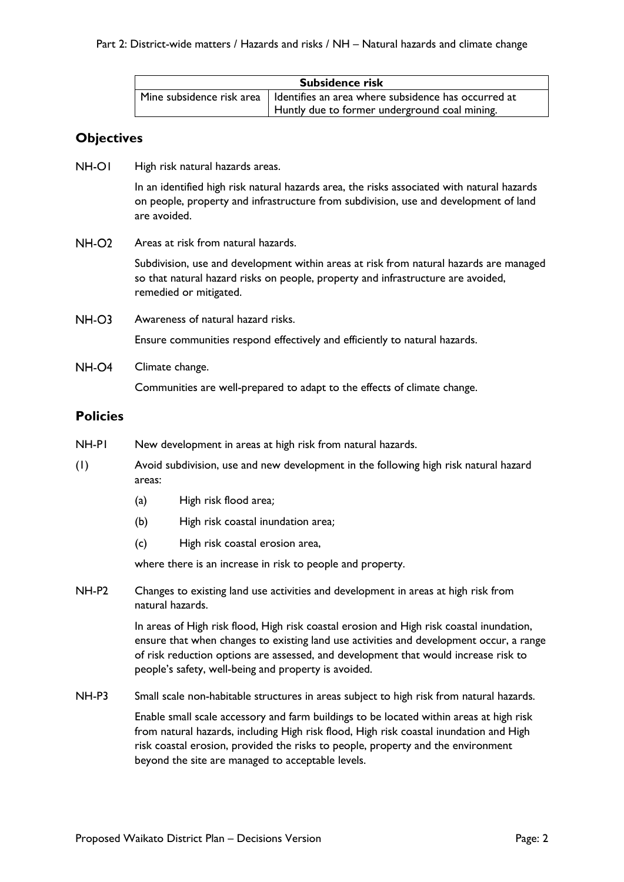| Subsidence risk                               |                                                                                             |  |
|-----------------------------------------------|---------------------------------------------------------------------------------------------|--|
|                                               | $\mid$ Mine subsidence risk area $\mid$ Identifies an area where subsidence has occurred at |  |
| Huntly due to former underground coal mining. |                                                                                             |  |

## **Objectives**

**NH-OI** High risk natural hazards areas.

> In an identified high risk natural hazards area, the risks associated with natural hazards on people, property and infrastructure from subdivision, use and development of land are avoided.

**NH-O2** Areas at risk from natural hazards.

> Subdivision, use and development within areas at risk from natural hazards are managed so that natural hazard risks on people, property and infrastructure are avoided, remedied or mitigated.

 $NH-O3$ Awareness of natural hazard risks.

Ensure communities respond effectively and efficiently to natural hazards.

 $NH$ - $O$ 4 Climate change.

Communities are well-prepared to adapt to the effects of climate change.

## **Policies**

- NH-P1 New development in areas at high risk from natural hazards.
- (1) Avoid subdivision, use and new development in the following high risk natural hazard areas:
	- (a) High risk flood area;
	- (b) High risk coastal inundation area;
	- (c) High risk coastal erosion area,

where there is an increase in risk to people and property.

NH-P2 Changes to existing land use activities and development in areas at high risk from natural hazards.

> In areas of High risk flood, High risk coastal erosion and High risk coastal inundation, ensure that when changes to existing land use activities and development occur, a range of risk reduction options are assessed, and development that would increase risk to people's safety, well-being and property is avoided.

NH-P3 Small scale non-habitable structures in areas subject to high risk from natural hazards.

Enable small scale accessory and farm buildings to be located within areas at high risk from natural hazards, including High risk flood, High risk coastal inundation and High risk coastal erosion, provided the risks to people, property and the environment beyond the site are managed to acceptable levels.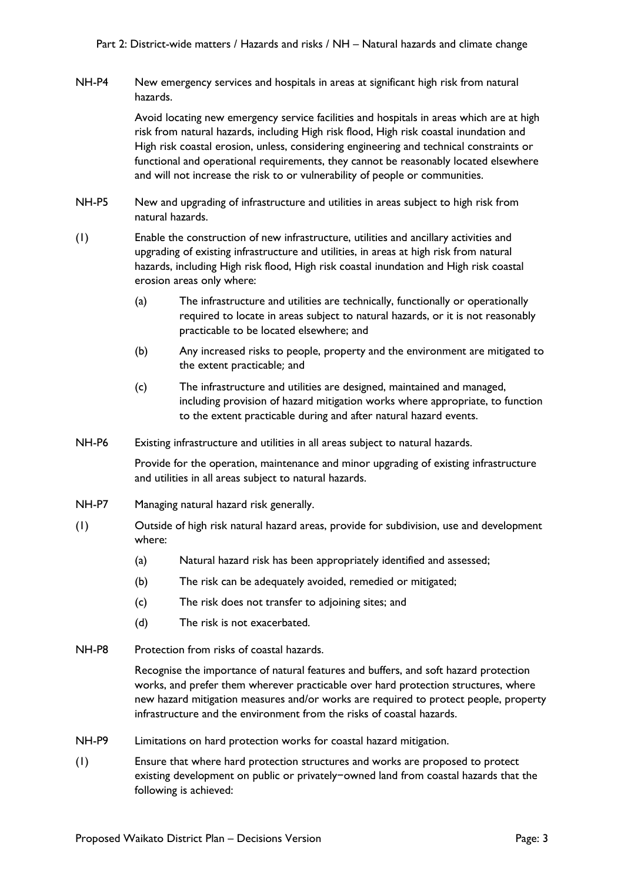NH-P4 New emergency services and hospitals in areas at significant high risk from natural hazards.

> Avoid locating new emergency service facilities and hospitals in areas which are at high risk from natural hazards, including High risk flood, High risk coastal inundation and High risk coastal erosion, unless, considering engineering and technical constraints or functional and operational requirements, they cannot be reasonably located elsewhere and will not increase the risk to or vulnerability of people or communities.

- NH-P5 New and upgrading of infrastructure and utilities in areas subject to high risk from natural hazards.
- (1) Enable the construction of new infrastructure, utilities and ancillary activities and upgrading of existing infrastructure and utilities, in areas at high risk from natural hazards, including High risk flood, High risk coastal inundation and High risk coastal erosion areas only where:
	- (a) The infrastructure and utilities are technically, functionally or operationally required to locate in areas subject to natural hazards, or it is not reasonably practicable to be located elsewhere; and
	- (b) Any increased risks to people, property and the environment are mitigated to the extent practicable; and
	- (c) The infrastructure and utilities are designed, maintained and managed, including provision of hazard mitigation works where appropriate, to function to the extent practicable during and after natural hazard events.
- NH-P6 Existing infrastructure and utilities in all areas subject to natural hazards.

Provide for the operation, maintenance and minor upgrading of existing infrastructure and utilities in all areas subject to natural hazards.

- NH-P7 Managing natural hazard risk generally.
- (1) Outside of high risk natural hazard areas, provide for subdivision, use and development where:
	- (a) Natural hazard risk has been appropriately identified and assessed;
	- (b) The risk can be adequately avoided, remedied or mitigated;
	- (c) The risk does not transfer to adjoining sites; and
	- (d) The risk is not exacerbated.
- NH-P8 Protection from risks of coastal hazards.

Recognise the importance of natural features and buffers, and soft hazard protection works, and prefer them wherever practicable over hard protection structures, where new hazard mitigation measures and/or works are required to protect people, property infrastructure and the environment from the risks of coastal hazards.

- NH-P9 Limitations on hard protection works for coastal hazard mitigation.
- (1) Ensure that where hard protection structures and works are proposed to protect existing development on public or privately−owned land from coastal hazards that the following is achieved: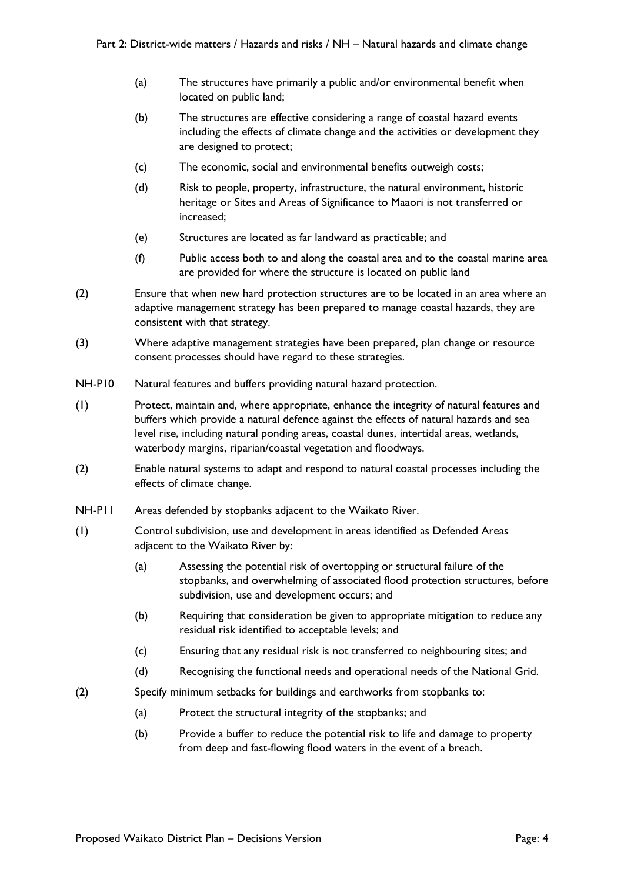- (a) The structures have primarily a public and/or environmental benefit when located on public land;
- (b) The structures are effective considering a range of coastal hazard events including the effects of climate change and the activities or development they are designed to protect;
- (c) The economic, social and environmental benefits outweigh costs;
- (d) Risk to people, property, infrastructure, the natural environment, historic heritage or Sites and Areas of Significance to Maaori is not transferred or increased;
- (e) Structures are located as far landward as practicable; and
- (f) Public access both to and along the coastal area and to the coastal marine area are provided for where the structure is located on public land
- (2) Ensure that when new hard protection structures are to be located in an area where an adaptive management strategy has been prepared to manage coastal hazards, they are consistent with that strategy.
- (3) Where adaptive management strategies have been prepared, plan change or resource consent processes should have regard to these strategies.
- NH-P10 Natural features and buffers providing natural hazard protection.
- (1) Protect, maintain and, where appropriate, enhance the integrity of natural features and buffers which provide a natural defence against the effects of natural hazards and sea level rise, including natural ponding areas, coastal dunes, intertidal areas, wetlands, waterbody margins, riparian/coastal vegetation and floodways.
- (2) Enable natural systems to adapt and respond to natural coastal processes including the effects of climate change.
- NH-P11 Areas defended by stopbanks adjacent to the Waikato River.
- (1) Control subdivision, use and development in areas identified as Defended Areas adjacent to the Waikato River by:
	- (a) Assessing the potential risk of overtopping or structural failure of the stopbanks, and overwhelming of associated flood protection structures, before subdivision, use and development occurs; and
	- (b) Requiring that consideration be given to appropriate mitigation to reduce any residual risk identified to acceptable levels; and
	- (c) Ensuring that any residual risk is not transferred to neighbouring sites; and
	- (d) Recognising the functional needs and operational needs of the National Grid.
- (2) Specify minimum setbacks for buildings and earthworks from stopbanks to:
	- (a) Protect the structural integrity of the stopbanks; and
	- (b) Provide a buffer to reduce the potential risk to life and damage to property from deep and fast-flowing flood waters in the event of a breach.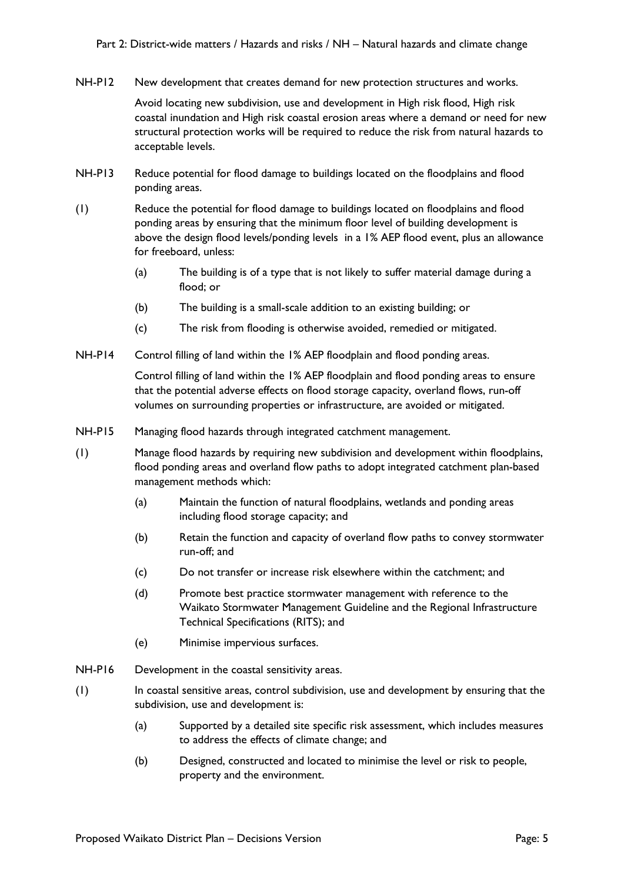NH-P12 New development that creates demand for new protection structures and works.

Avoid locating new subdivision, use and development in High risk flood, High risk coastal inundation and High risk coastal erosion areas where a demand or need for new structural protection works will be required to reduce the risk from natural hazards to acceptable levels.

- NH-P13 Reduce potential for flood damage to buildings located on the floodplains and flood ponding areas.
- (1) Reduce the potential for flood damage to buildings located on floodplains and flood ponding areas by ensuring that the minimum floor level of building development is above the design flood levels/ponding levels in a 1% AEP flood event, plus an allowance for freeboard, unless:
	- (a) The building is of a type that is not likely to suffer material damage during a flood; or
	- (b) The building is a small-scale addition to an existing building; or
	- (c) The risk from flooding is otherwise avoided, remedied or mitigated.
- NH-P14 Control filling of land within the 1% AEP floodplain and flood ponding areas.

Control filling of land within the 1% AEP floodplain and flood ponding areas to ensure that the potential adverse effects on flood storage capacity, overland flows, run-off volumes on surrounding properties or infrastructure, are avoided or mitigated.

- NH-P15 Managing flood hazards through integrated catchment management.
- (1) Manage flood hazards by requiring new subdivision and development within floodplains, flood ponding areas and overland flow paths to adopt integrated catchment plan-based management methods which:
	- (a) Maintain the function of natural floodplains, wetlands and ponding areas including flood storage capacity; and
	- (b) Retain the function and capacity of overland flow paths to convey stormwater run-off; and
	- (c) Do not transfer or increase risk elsewhere within the catchment; and
	- (d) Promote best practice stormwater management with reference to the Waikato Stormwater Management Guideline and the Regional Infrastructure Technical Specifications (RITS); and
	- (e) Minimise impervious surfaces.
- NH-P16 Development in the coastal sensitivity areas.
- (1) In coastal sensitive areas, control subdivision, use and development by ensuring that the subdivision, use and development is:
	- (a) Supported by a detailed site specific risk assessment, which includes measures to address the effects of climate change; and
	- (b) Designed, constructed and located to minimise the level or risk to people, property and the environment.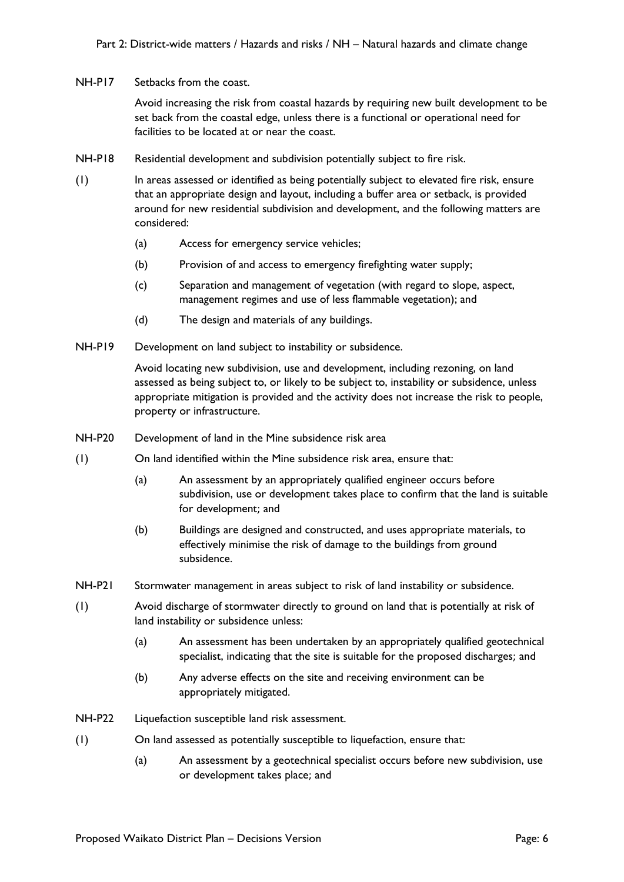NH-P17 Setbacks from the coast.

Avoid increasing the risk from coastal hazards by requiring new built development to be set back from the coastal edge, unless there is a functional or operational need for facilities to be located at or near the coast.

- NH-P18 Residential development and subdivision potentially subject to fire risk.
- (1) In areas assessed or identified as being potentially subject to elevated fire risk, ensure that an appropriate design and layout, including a buffer area or setback, is provided around for new residential subdivision and development, and the following matters are considered:
	- (a) Access for emergency service vehicles;
	- (b) Provision of and access to emergency firefighting water supply;
	- (c) Separation and management of vegetation (with regard to slope, aspect, management regimes and use of less flammable vegetation); and
	- (d) The design and materials of any buildings.
- NH-P19 Development on land subject to instability or subsidence.

Avoid locating new subdivision, use and development, including rezoning, on land assessed as being subject to, or likely to be subject to, instability or subsidence, unless appropriate mitigation is provided and the activity does not increase the risk to people, property or infrastructure.

- NH-P20 Development of land in the Mine subsidence risk area
- (1) On land identified within the Mine subsidence risk area, ensure that:
	- (a) An assessment by an appropriately qualified engineer occurs before subdivision, use or development takes place to confirm that the land is suitable for development; and
	- (b) Buildings are designed and constructed, and uses appropriate materials, to effectively minimise the risk of damage to the buildings from ground subsidence.
- NH-P21 Stormwater management in areas subject to risk of land instability or subsidence.
- (1) Avoid discharge of stormwater directly to ground on land that is potentially at risk of land instability or subsidence unless:
	- (a) An assessment has been undertaken by an appropriately qualified geotechnical specialist, indicating that the site is suitable for the proposed discharges; and
	- (b) Any adverse effects on the site and receiving environment can be appropriately mitigated.
- NH-P22 Liquefaction susceptible land risk assessment.
- (1) On land assessed as potentially susceptible to liquefaction, ensure that:
	- (a) An assessment by a geotechnical specialist occurs before new subdivision, use or development takes place; and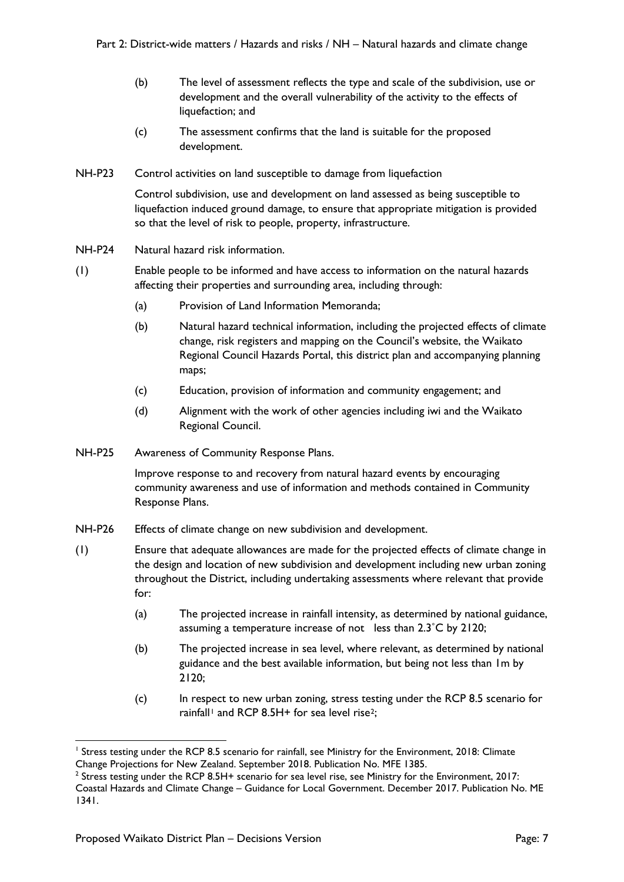- (b) The level of assessment reflects the type and scale of the subdivision, use or development and the overall vulnerability of the activity to the effects of liquefaction; and
- (c) The assessment confirms that the land is suitable for the proposed development.
- NH-P23 Control activities on land susceptible to damage from liquefaction

Control subdivision, use and development on land assessed as being susceptible to liquefaction induced ground damage, to ensure that appropriate mitigation is provided so that the level of risk to people, property, infrastructure.

- NH-P24 Natural hazard risk information.
- (1) Enable people to be informed and have access to information on the natural hazards affecting their properties and surrounding area, including through:
	- (a) Provision of Land Information Memoranda;
	- (b) Natural hazard technical information, including the projected effects of climate change, risk registers and mapping on the Council's website, the Waikato Regional Council Hazards Portal, this district plan and accompanying planning maps;
	- (c) Education, provision of information and community engagement; and
	- (d) Alignment with the work of other agencies including iwi and the Waikato Regional Council.
- NH-P25 Awareness of Community Response Plans.

Improve response to and recovery from natural hazard events by encouraging community awareness and use of information and methods contained in Community Response Plans.

- NH-P26 Effects of climate change on new subdivision and development.
- (1) Ensure that adequate allowances are made for the projected effects of climate change in the design and location of new subdivision and development including new urban zoning throughout the District, including undertaking assessments where relevant that provide for:
	- (a) The projected increase in rainfall intensity, as determined by national guidance, assuming a temperature increase of not less than 2.3˚C by 2120;
	- (b) The projected increase in sea level, where relevant, as determined by national guidance and the best available information, but being not less than 1m by 2120;
	- (c) In respect to new urban zoning, stress testing under the RCP 8.5 scenario for rainfall<sup>[1](#page-6-0)</sup> and RCP 8.5H+ for sea level rise<sup>[2](#page-6-1)</sup>;

<span id="page-6-0"></span>Stress testing under the RCP 8.5 scenario for rainfall, see Ministry for the Environment, 2018: Climate Change Projections for New Zealand. September 2018. Publication No. MFE 1385.

<span id="page-6-1"></span><sup>&</sup>lt;sup>2</sup> Stress testing under the RCP 8.5H+ scenario for sea level rise, see Ministry for the Environment, 2017:

Coastal Hazards and Climate Change – Guidance for Local Government. December 2017. Publication No. ME 1341.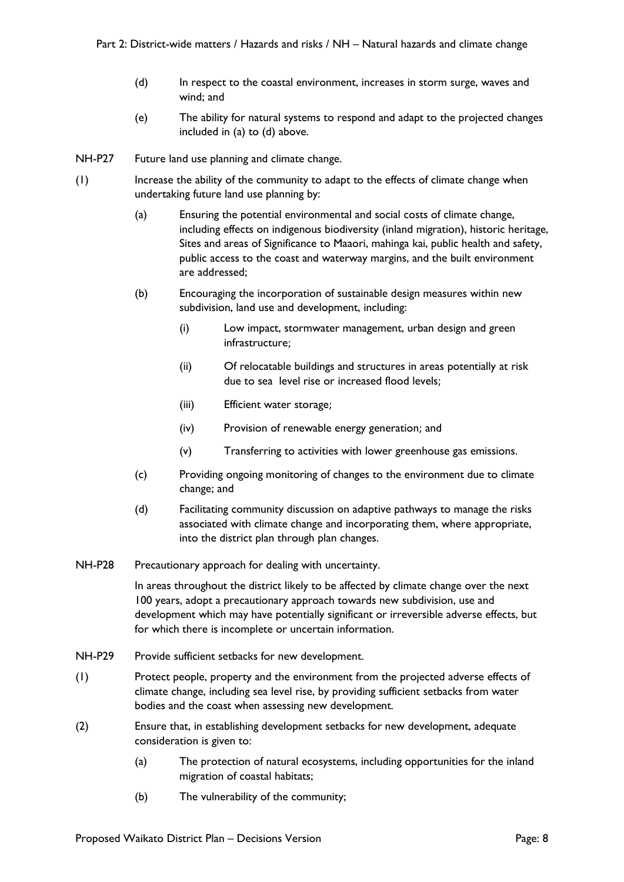- (d) In respect to the coastal environment, increases in storm surge, waves and wind; and
- (e) The ability for natural systems to respond and adapt to the projected changes included in (a) to (d) above.
- NH-P27 Future land use planning and climate change.
- (1) Increase the ability of the community to adapt to the effects of climate change when undertaking future land use planning by:
	- (a) Ensuring the potential environmental and social costs of climate change, including effects on indigenous biodiversity (inland migration), historic heritage, Sites and areas of Significance to Maaori, mahinga kai, public health and safety, public access to the coast and waterway margins, and the built environment are addressed;
	- (b) Encouraging the incorporation of sustainable design measures within new subdivision, land use and development, including:
		- (i) Low impact, stormwater management, urban design and green infrastructure;
		- (ii) Of relocatable buildings and structures in areas potentially at risk due to sea level rise or increased flood levels;
		- (iii) Efficient water storage;
		- (iv) Provision of renewable energy generation; and
		- (v) Transferring to activities with lower greenhouse gas emissions.
	- (c) Providing ongoing monitoring of changes to the environment due to climate change; and
	- (d) Facilitating community discussion on adaptive pathways to manage the risks associated with climate change and incorporating them, where appropriate, into the district plan through plan changes.
- NH-P28 Precautionary approach for dealing with uncertainty.

In areas throughout the district likely to be affected by climate change over the next 100 years, adopt a precautionary approach towards new subdivision, use and development which may have potentially significant or irreversible adverse effects, but for which there is incomplete or uncertain information.

- NH-P29 Provide sufficient setbacks for new development.
- (1) Protect people, property and the environment from the projected adverse effects of climate change, including sea level rise, by providing sufficient setbacks from water bodies and the coast when assessing new development.
- (2) Ensure that, in establishing development setbacks for new development, adequate consideration is given to:
	- (a) The protection of natural ecosystems, including opportunities for the inland migration of coastal habitats;
	- (b) The vulnerability of the community;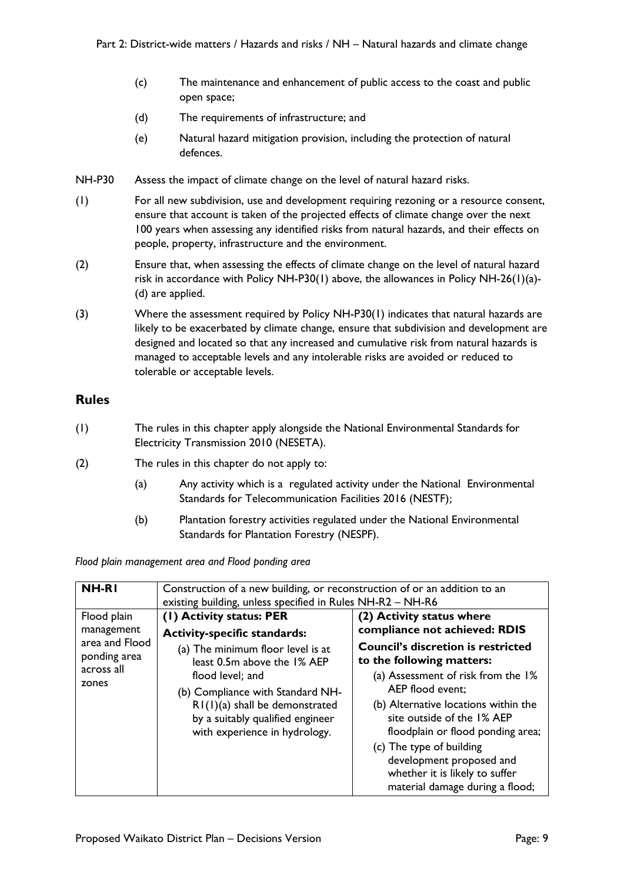- (c) The maintenance and enhancement of public access to the coast and public open space;
- (d) The requirements of infrastructure; and
- (e) Natural hazard mitigation provision, including the protection of natural defences.
- NH-P30 Assess the impact of climate change on the level of natural hazard risks.
- (1) For all new subdivision, use and development requiring rezoning or a resource consent, ensure that account is taken of the projected effects of climate change over the next 100 years when assessing any identified risks from natural hazards, and their effects on people, property, infrastructure and the environment.
- (2) Ensure that, when assessing the effects of climate change on the level of natural hazard risk in accordance with Policy NH-P30(1) above, the allowances in Policy NH-26(1)(a)- (d) are applied.
- (3) Where the assessment required by Policy NH-P30(1) indicates that natural hazards are likely to be exacerbated by climate change, ensure that subdivision and development are designed and located so that any increased and cumulative risk from natural hazards is managed to acceptable levels and any intolerable risks are avoided or reduced to tolerable or acceptable levels.

#### **Rules**

- (1) The rules in this chapter apply alongside the National Environmental Standards for Electricity Transmission 2010 (NESETA).
- (2) The rules in this chapter do not apply to:
	- (a) Any activity which is a regulated activity under the National Environmental Standards for Telecommunication Facilities 2016 (NESTF);
	- (b) Plantation forestry activities regulated under the National Environmental Standards for Plantation Forestry (NESPF).

*Flood plain management area and Flood ponding area*

| <b>NH-RI</b>                                          | Construction of a new building, or reconstruction of or an addition to an<br>existing building, unless specified in Rules NH-R2 - NH-R6                                                                                           |                                                                                                                                                                                                                                                                                                                                                                          |
|-------------------------------------------------------|-----------------------------------------------------------------------------------------------------------------------------------------------------------------------------------------------------------------------------------|--------------------------------------------------------------------------------------------------------------------------------------------------------------------------------------------------------------------------------------------------------------------------------------------------------------------------------------------------------------------------|
| Flood plain<br>management                             | (1) Activity status: PER<br><b>Activity-specific standards:</b>                                                                                                                                                                   | (2) Activity status where<br>compliance not achieved: RDIS                                                                                                                                                                                                                                                                                                               |
| area and Flood<br>ponding area<br>across all<br>zones | (a) The minimum floor level is at<br>least 0.5m above the 1% AEP<br>flood level; and<br>(b) Compliance with Standard NH-<br>$R1(1)(a)$ shall be demonstrated<br>by a suitably qualified engineer<br>with experience in hydrology. | <b>Council's discretion is restricted</b><br>to the following matters:<br>(a) Assessment of risk from the 1%<br>AEP flood event;<br>(b) Alternative locations within the<br>site outside of the 1% AEP<br>floodplain or flood ponding area;<br>(c) The type of building<br>development proposed and<br>whether it is likely to suffer<br>material damage during a flood; |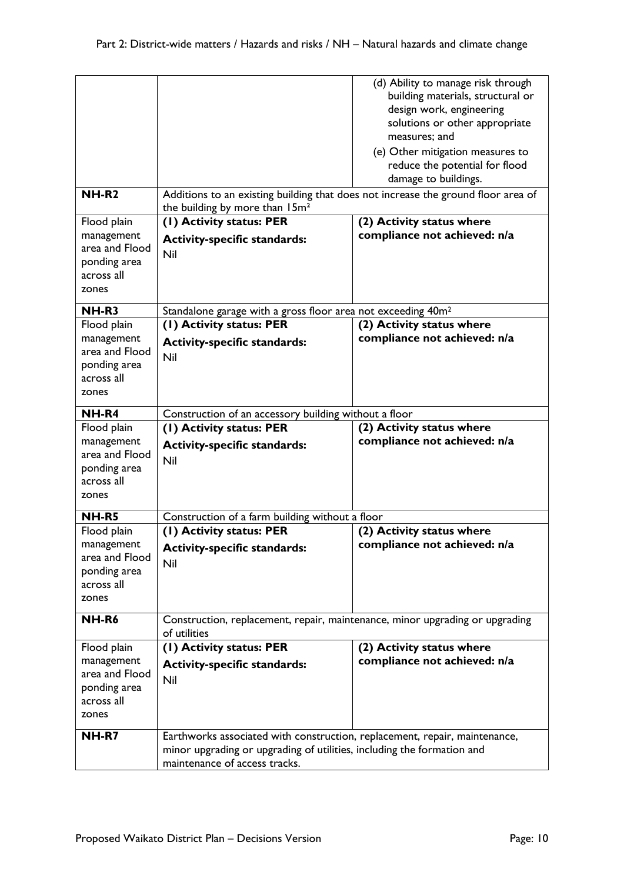| <b>NH-R2</b>                                                        | Additions to an existing building that does not increase the ground floor area of<br>the building by more than 15m <sup>2</sup> | (d) Ability to manage risk through<br>building materials, structural or<br>design work, engineering<br>solutions or other appropriate<br>measures: and<br>(e) Other mitigation measures to<br>reduce the potential for flood<br>damage to buildings. |
|---------------------------------------------------------------------|---------------------------------------------------------------------------------------------------------------------------------|------------------------------------------------------------------------------------------------------------------------------------------------------------------------------------------------------------------------------------------------------|
| Flood plain                                                         | (1) Activity status: PER                                                                                                        | (2) Activity status where                                                                                                                                                                                                                            |
| management<br>area and Flood<br>ponding area<br>across all<br>zones | <b>Activity-specific standards:</b><br>Nil                                                                                      | compliance not achieved: n/a                                                                                                                                                                                                                         |
| NH-R3                                                               | Standalone garage with a gross floor area not exceeding 40m <sup>2</sup>                                                        |                                                                                                                                                                                                                                                      |
| Flood plain                                                         | (1) Activity status: PER                                                                                                        | (2) Activity status where                                                                                                                                                                                                                            |
| management<br>area and Flood<br>ponding area<br>across all<br>zones | <b>Activity-specific standards:</b><br>Nil                                                                                      | compliance not achieved: n/a                                                                                                                                                                                                                         |
| NH-R4                                                               | Construction of an accessory building without a floor                                                                           |                                                                                                                                                                                                                                                      |
| Flood plain                                                         | (1) Activity status: PER                                                                                                        | (2) Activity status where                                                                                                                                                                                                                            |
| management<br>area and Flood                                        | <b>Activity-specific standards:</b>                                                                                             | compliance not achieved: n/a                                                                                                                                                                                                                         |
| ponding area<br>across all<br>zones                                 | Nil                                                                                                                             |                                                                                                                                                                                                                                                      |
| <b>NH-R5</b>                                                        |                                                                                                                                 |                                                                                                                                                                                                                                                      |
| Flood plain                                                         | Construction of a farm building without a floor<br>(1) Activity status: PER                                                     | (2) Activity status where                                                                                                                                                                                                                            |
| management<br>area and Flood<br>ponding area<br>across all<br>zones | <b>Activity-specific standards:</b><br>Nil                                                                                      | compliance not achieved: n/a                                                                                                                                                                                                                         |
| NH-R6                                                               | Construction, replacement, repair, maintenance, minor upgrading or upgrading<br>of utilities                                    |                                                                                                                                                                                                                                                      |
| Flood plain                                                         | (1) Activity status: PER                                                                                                        | (2) Activity status where                                                                                                                                                                                                                            |
| management<br>area and Flood<br>ponding area<br>across all<br>zones | <b>Activity-specific standards:</b><br>Nil                                                                                      | compliance not achieved: n/a                                                                                                                                                                                                                         |
|                                                                     |                                                                                                                                 |                                                                                                                                                                                                                                                      |
| NH-R7                                                               | Earthworks associated with construction, replacement, repair, maintenance,                                                      |                                                                                                                                                                                                                                                      |
|                                                                     | minor upgrading or upgrading of utilities, including the formation and<br>maintenance of access tracks.                         |                                                                                                                                                                                                                                                      |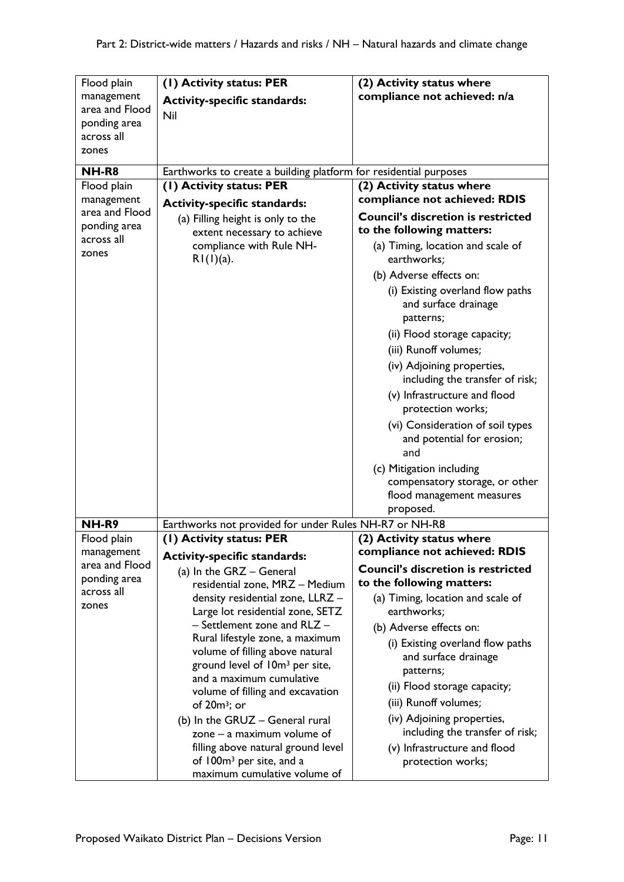| Flood plain                  | (1) Activity status: PER                                          | (2) Activity status where                                             |
|------------------------------|-------------------------------------------------------------------|-----------------------------------------------------------------------|
| management<br>area and Flood | <b>Activity-specific standards:</b>                               | compliance not achieved: n/a                                          |
| ponding area                 | Nil                                                               |                                                                       |
| across all                   |                                                                   |                                                                       |
| zones                        |                                                                   |                                                                       |
| NH-R8                        | Earthworks to create a building platform for residential purposes |                                                                       |
| Flood plain                  | (I) Activity status: PER                                          | (2) Activity status where                                             |
| management                   | <b>Activity-specific standards:</b>                               | compliance not achieved: RDIS                                         |
| area and Flood               | (a) Filling height is only to the                                 | <b>Council's discretion is restricted</b>                             |
| ponding area<br>across all   | extent necessary to achieve                                       | to the following matters:                                             |
| zones                        | compliance with Rule NH-                                          | (a) Timing, location and scale of                                     |
|                              | $R1(1)(a)$ .                                                      | earthworks;                                                           |
|                              |                                                                   | (b) Adverse effects on:                                               |
|                              |                                                                   | (i) Existing overland flow paths<br>and surface drainage<br>patterns; |
|                              |                                                                   | (ii) Flood storage capacity;                                          |
|                              |                                                                   | (iii) Runoff volumes;                                                 |
|                              |                                                                   | (iv) Adjoining properties,                                            |
|                              |                                                                   | including the transfer of risk;                                       |
|                              |                                                                   | (v) Infrastructure and flood<br>protection works;                     |
|                              |                                                                   | (vi) Consideration of soil types<br>and potential for erosion;<br>and |
|                              |                                                                   | (c) Mitigation including                                              |
|                              |                                                                   | compensatory storage, or other                                        |
|                              |                                                                   | flood management measures                                             |
| <b>NH-R9</b>                 | Earthworks not provided for under Rules NH-R7 or NH-R8            | proposed.                                                             |
| Flood plain                  | (I) Activity status: PER                                          | (2) Activity status where                                             |
| management                   | <b>Activity-specific standards:</b>                               | compliance not achieved: RDIS                                         |
| area and Flood               | (a) In the GRZ - General                                          | <b>Council's discretion is restricted</b>                             |
| ponding area                 | residential zone, MRZ - Medium                                    | to the following matters:                                             |
| across all<br>zones          | density residential zone, LLRZ -                                  | (a) Timing, location and scale of                                     |
|                              | Large lot residential zone, SETZ                                  | earthworks;                                                           |
|                              | - Settlement zone and RLZ -<br>Rural lifestyle zone, a maximum    | (b) Adverse effects on:                                               |
|                              | volume of filling above natural                                   | (i) Existing overland flow paths                                      |
|                              | ground level of 10m <sup>3</sup> per site,                        | and surface drainage<br>patterns;                                     |
|                              | and a maximum cumulative                                          | (ii) Flood storage capacity;                                          |
|                              | volume of filling and excavation                                  | (iii) Runoff volumes;                                                 |
|                              | of $20m^3$ ; or                                                   | (iv) Adjoining properties,                                            |
|                              | (b) In the GRUZ - General rural<br>zone $-$ a maximum volume of   | including the transfer of risk;                                       |
|                              | filling above natural ground level                                | (v) Infrastructure and flood                                          |
|                              | of 100m <sup>3</sup> per site, and a                              | protection works;                                                     |
|                              | maximum cumulative volume of                                      |                                                                       |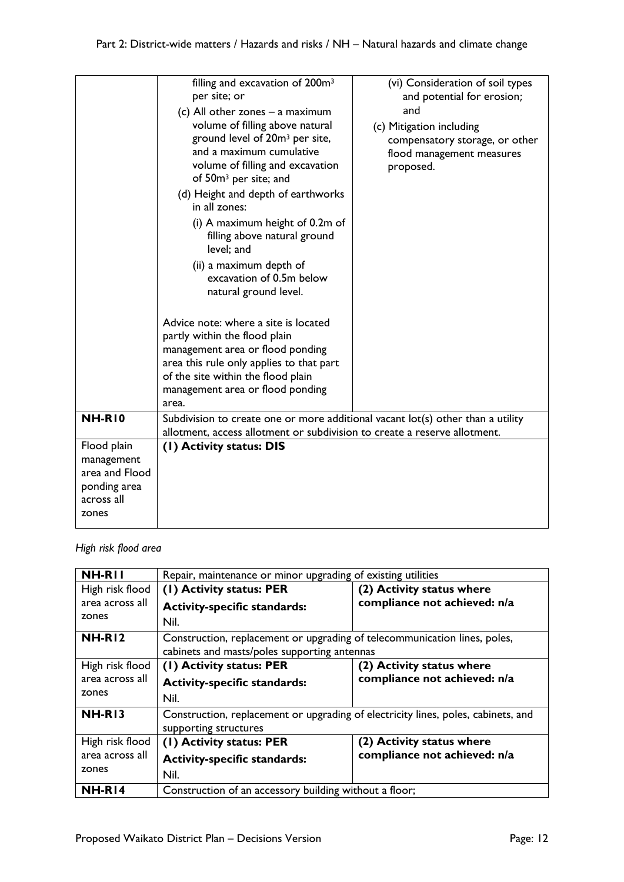|                                                                                    | filling and excavation of 200m <sup>3</sup><br>per site; or<br>(c) All other zones $-$ a maximum<br>volume of filling above natural<br>ground level of 20m <sup>3</sup> per site,<br>and a maximum cumulative<br>volume of filling and excavation<br>of 50m <sup>3</sup> per site; and<br>(d) Height and depth of earthworks<br>in all zones:<br>(i) A maximum height of 0.2m of<br>filling above natural ground<br>level; and<br>(ii) a maximum depth of<br>excavation of 0.5m below<br>natural ground level.<br>Advice note: where a site is located<br>partly within the flood plain<br>management area or flood ponding<br>area this rule only applies to that part<br>of the site within the flood plain<br>management area or flood ponding<br>area. | (vi) Consideration of soil types<br>and potential for erosion;<br>and<br>(c) Mitigation including<br>compensatory storage, or other<br>flood management measures<br>proposed. |
|------------------------------------------------------------------------------------|------------------------------------------------------------------------------------------------------------------------------------------------------------------------------------------------------------------------------------------------------------------------------------------------------------------------------------------------------------------------------------------------------------------------------------------------------------------------------------------------------------------------------------------------------------------------------------------------------------------------------------------------------------------------------------------------------------------------------------------------------------|-------------------------------------------------------------------------------------------------------------------------------------------------------------------------------|
| <b>NH-R10</b>                                                                      | Subdivision to create one or more additional vacant lot(s) other than a utility<br>allotment, access allotment or subdivision to create a reserve allotment.                                                                                                                                                                                                                                                                                                                                                                                                                                                                                                                                                                                               |                                                                                                                                                                               |
| Flood plain<br>management<br>area and Flood<br>ponding area<br>across all<br>zones | (1) Activity status: DIS                                                                                                                                                                                                                                                                                                                                                                                                                                                                                                                                                                                                                                                                                                                                   |                                                                                                                                                                               |

## *High risk flood area*

| NH-RII          | Repair, maintenance or minor upgrading of existing utilities                      |                              |
|-----------------|-----------------------------------------------------------------------------------|------------------------------|
| High risk flood | (1) Activity status: PER                                                          | (2) Activity status where    |
| area across all | <b>Activity-specific standards:</b>                                               | compliance not achieved: n/a |
| zones           | Nil.                                                                              |                              |
| NH-RI2          | Construction, replacement or upgrading of telecommunication lines, poles,         |                              |
|                 | cabinets and masts/poles supporting antennas                                      |                              |
| High risk flood | (1) Activity status: PER                                                          | (2) Activity status where    |
| area across all | <b>Activity-specific standards:</b>                                               | compliance not achieved: n/a |
| zones           | Nil.                                                                              |                              |
| <b>NH-R13</b>   | Construction, replacement or upgrading of electricity lines, poles, cabinets, and |                              |
|                 | supporting structures                                                             |                              |
| High risk flood | (1) Activity status: PER                                                          | (2) Activity status where    |
| area across all | <b>Activity-specific standards:</b>                                               | compliance not achieved: n/a |
| zones           | Nil.                                                                              |                              |
| <b>NH-R14</b>   | Construction of an accessory building without a floor;                            |                              |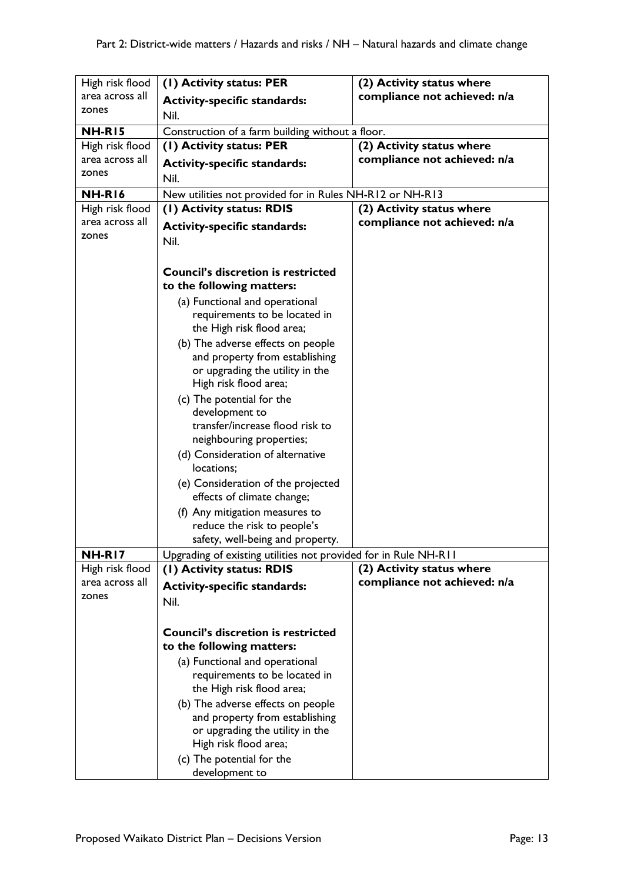| High risk flood<br>area across all | (1) Activity status: PER                                        | (2) Activity status where<br>compliance not achieved: n/a |
|------------------------------------|-----------------------------------------------------------------|-----------------------------------------------------------|
| zones                              | <b>Activity-specific standards:</b>                             |                                                           |
|                                    | Nil.                                                            |                                                           |
| <b>NH-R15</b>                      | Construction of a farm building without a floor.                |                                                           |
| High risk flood                    | (1) Activity status: PER                                        | (2) Activity status where                                 |
| area across all                    | <b>Activity-specific standards:</b>                             | compliance not achieved: n/a                              |
| zones                              | Nil.                                                            |                                                           |
| <b>NH-R16</b>                      | New utilities not provided for in Rules NH-R12 or NH-R13        |                                                           |
| High risk flood                    | (1) Activity status: RDIS                                       | (2) Activity status where                                 |
| area across all                    |                                                                 | compliance not achieved: n/a                              |
| zones                              | <b>Activity-specific standards:</b>                             |                                                           |
|                                    | Nil.                                                            |                                                           |
|                                    |                                                                 |                                                           |
|                                    | <b>Council's discretion is restricted</b>                       |                                                           |
|                                    | to the following matters:                                       |                                                           |
|                                    | (a) Functional and operational                                  |                                                           |
|                                    | requirements to be located in                                   |                                                           |
|                                    | the High risk flood area;                                       |                                                           |
|                                    | (b) The adverse effects on people                               |                                                           |
|                                    | and property from establishing                                  |                                                           |
|                                    | or upgrading the utility in the                                 |                                                           |
|                                    | High risk flood area;                                           |                                                           |
|                                    | (c) The potential for the                                       |                                                           |
|                                    | development to<br>transfer/increase flood risk to               |                                                           |
|                                    | neighbouring properties;                                        |                                                           |
|                                    | (d) Consideration of alternative                                |                                                           |
|                                    | locations;                                                      |                                                           |
|                                    | (e) Consideration of the projected                              |                                                           |
|                                    | effects of climate change;                                      |                                                           |
|                                    | (f) Any mitigation measures to                                  |                                                           |
|                                    | reduce the risk to people's                                     |                                                           |
|                                    | safety, well-being and property.                                |                                                           |
| <b>NH-R17</b>                      | Upgrading of existing utilities not provided for in Rule NH-R11 |                                                           |
| High risk flood                    | (1) Activity status: RDIS                                       | (2) Activity status where                                 |
| area across all                    |                                                                 | compliance not achieved: n/a                              |
| zones                              | <b>Activity-specific standards:</b>                             |                                                           |
|                                    | Nil.                                                            |                                                           |
|                                    |                                                                 |                                                           |
|                                    | <b>Council's discretion is restricted</b>                       |                                                           |
|                                    | to the following matters:                                       |                                                           |
|                                    | (a) Functional and operational                                  |                                                           |
|                                    | requirements to be located in                                   |                                                           |
|                                    | the High risk flood area;                                       |                                                           |
|                                    | (b) The adverse effects on people                               |                                                           |
|                                    | and property from establishing                                  |                                                           |
|                                    | or upgrading the utility in the                                 |                                                           |
|                                    | High risk flood area;                                           |                                                           |
|                                    | (c) The potential for the                                       |                                                           |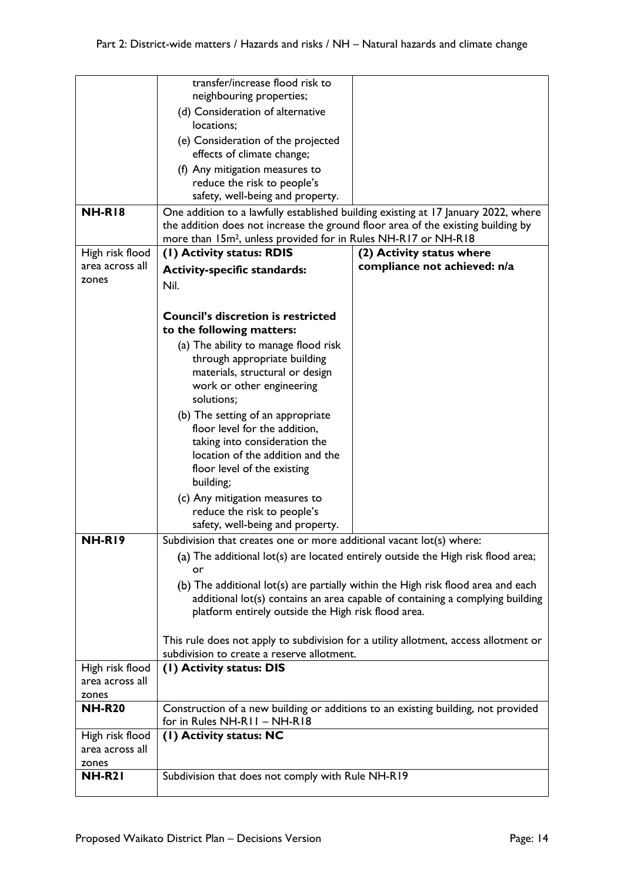|                 | transfer/increase flood risk to                                                   |                                                                                      |
|-----------------|-----------------------------------------------------------------------------------|--------------------------------------------------------------------------------------|
|                 | neighbouring properties;                                                          |                                                                                      |
|                 | (d) Consideration of alternative                                                  |                                                                                      |
|                 | locations;                                                                        |                                                                                      |
|                 | (e) Consideration of the projected                                                |                                                                                      |
|                 | effects of climate change;                                                        |                                                                                      |
|                 |                                                                                   |                                                                                      |
|                 | (f) Any mitigation measures to                                                    |                                                                                      |
|                 | reduce the risk to people's                                                       |                                                                                      |
|                 | safety, well-being and property.                                                  |                                                                                      |
| <b>NH-R18</b>   |                                                                                   | One addition to a lawfully established building existing at 17 January 2022, where   |
|                 | the addition does not increase the ground floor area of the existing building by  |                                                                                      |
|                 | more than 15m <sup>2</sup> , unless provided for in Rules NH-R17 or NH-R18        |                                                                                      |
| High risk flood | (I) Activity status: RDIS                                                         | (2) Activity status where                                                            |
| area across all | <b>Activity-specific standards:</b>                                               | compliance not achieved: n/a                                                         |
| zones           | Nil.                                                                              |                                                                                      |
|                 |                                                                                   |                                                                                      |
|                 |                                                                                   |                                                                                      |
|                 | <b>Council's discretion is restricted</b>                                         |                                                                                      |
|                 | to the following matters:                                                         |                                                                                      |
|                 | (a) The ability to manage flood risk                                              |                                                                                      |
|                 | through appropriate building                                                      |                                                                                      |
|                 | materials, structural or design                                                   |                                                                                      |
|                 | work or other engineering                                                         |                                                                                      |
|                 | solutions;                                                                        |                                                                                      |
|                 |                                                                                   |                                                                                      |
|                 | (b) The setting of an appropriate                                                 |                                                                                      |
|                 | floor level for the addition,                                                     |                                                                                      |
|                 | taking into consideration the                                                     |                                                                                      |
|                 | location of the addition and the                                                  |                                                                                      |
|                 | floor level of the existing                                                       |                                                                                      |
|                 | building;                                                                         |                                                                                      |
|                 | (c) Any mitigation measures to                                                    |                                                                                      |
|                 | reduce the risk to people's                                                       |                                                                                      |
|                 | safety, well-being and property.                                                  |                                                                                      |
| NH-RI9          | Subdivision that creates one or more additional vacant lot(s) where:              |                                                                                      |
|                 |                                                                                   | (a) The additional lot(s) are located entirely outside the High risk flood area;     |
|                 |                                                                                   |                                                                                      |
|                 | or                                                                                |                                                                                      |
|                 |                                                                                   | (b) The additional lot(s) are partially within the High risk flood area and each     |
|                 |                                                                                   | additional lot(s) contains an area capable of containing a complying building        |
|                 | platform entirely outside the High risk flood area.                               |                                                                                      |
|                 |                                                                                   |                                                                                      |
|                 |                                                                                   | This rule does not apply to subdivision for a utility allotment, access allotment or |
|                 | subdivision to create a reserve allotment.                                        |                                                                                      |
| High risk flood | (1) Activity status: DIS                                                          |                                                                                      |
| area across all |                                                                                   |                                                                                      |
| zones           |                                                                                   |                                                                                      |
| <b>NH-R20</b>   | Construction of a new building or additions to an existing building, not provided |                                                                                      |
|                 | for in Rules NH-R11 - NH-R18                                                      |                                                                                      |
| High risk flood | (1) Activity status: NC                                                           |                                                                                      |
| area across all |                                                                                   |                                                                                      |
| zones           |                                                                                   |                                                                                      |
| <b>NH-R21</b>   | Subdivision that does not comply with Rule NH-R19                                 |                                                                                      |
|                 |                                                                                   |                                                                                      |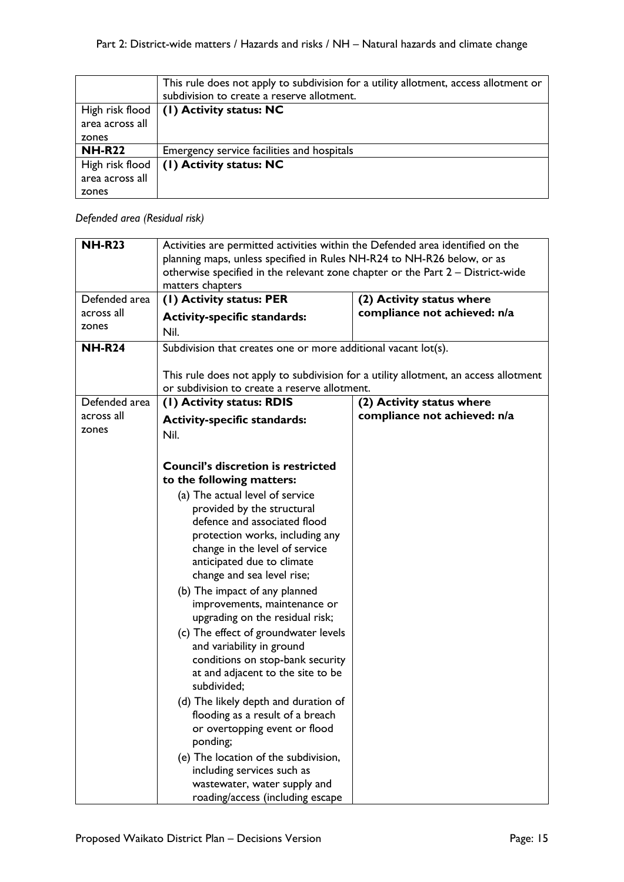|                 | This rule does not apply to subdivision for a utility allotment, access allotment or<br>subdivision to create a reserve allotment. |
|-----------------|------------------------------------------------------------------------------------------------------------------------------------|
|                 | High risk flood $(1)$ Activity status: NC                                                                                          |
| area across all |                                                                                                                                    |
| zones           |                                                                                                                                    |
| <b>NH-R22</b>   | Emergency service facilities and hospitals                                                                                         |
| High risk flood | $(1)$ Activity status: NC                                                                                                          |
| area across all |                                                                                                                                    |
| zones           |                                                                                                                                    |

# *Defended area (Residual risk)*

| <b>NH-R23</b>       | Activities are permitted activities within the Defended area identified on the |                                                                                      |
|---------------------|--------------------------------------------------------------------------------|--------------------------------------------------------------------------------------|
|                     | planning maps, unless specified in Rules NH-R24 to NH-R26 below, or as         |                                                                                      |
|                     | otherwise specified in the relevant zone chapter or the Part 2 - District-wide |                                                                                      |
|                     | matters chapters                                                               |                                                                                      |
| Defended area       | (1) Activity status: PER                                                       | (2) Activity status where                                                            |
| across all          | <b>Activity-specific standards:</b>                                            | compliance not achieved: n/a                                                         |
| zones               | Nil.                                                                           |                                                                                      |
| <b>NH-R24</b>       | Subdivision that creates one or more additional vacant lot(s).                 |                                                                                      |
|                     |                                                                                |                                                                                      |
|                     |                                                                                | This rule does not apply to subdivision for a utility allotment, an access allotment |
|                     | or subdivision to create a reserve allotment.                                  |                                                                                      |
| Defended area       | (1) Activity status: RDIS                                                      | (2) Activity status where                                                            |
| across all<br>zones | <b>Activity-specific standards:</b>                                            | compliance not achieved: n/a                                                         |
|                     | Nil.                                                                           |                                                                                      |
|                     |                                                                                |                                                                                      |
|                     | <b>Council's discretion is restricted</b>                                      |                                                                                      |
|                     | to the following matters:                                                      |                                                                                      |
|                     | (a) The actual level of service                                                |                                                                                      |
|                     | provided by the structural                                                     |                                                                                      |
|                     | defence and associated flood                                                   |                                                                                      |
|                     | protection works, including any                                                |                                                                                      |
|                     | change in the level of service                                                 |                                                                                      |
|                     | anticipated due to climate                                                     |                                                                                      |
|                     | change and sea level rise;                                                     |                                                                                      |
|                     | (b) The impact of any planned                                                  |                                                                                      |
|                     | improvements, maintenance or<br>upgrading on the residual risk;                |                                                                                      |
|                     |                                                                                |                                                                                      |
|                     | (c) The effect of groundwater levels<br>and variability in ground              |                                                                                      |
|                     | conditions on stop-bank security                                               |                                                                                      |
|                     | at and adjacent to the site to be                                              |                                                                                      |
|                     | subdivided;                                                                    |                                                                                      |
|                     | (d) The likely depth and duration of                                           |                                                                                      |
|                     | flooding as a result of a breach                                               |                                                                                      |
|                     | or overtopping event or flood                                                  |                                                                                      |
|                     | ponding;                                                                       |                                                                                      |
|                     | (e) The location of the subdivision,                                           |                                                                                      |
|                     | including services such as                                                     |                                                                                      |
|                     | wastewater, water supply and                                                   |                                                                                      |
|                     | roading/access (including escape                                               |                                                                                      |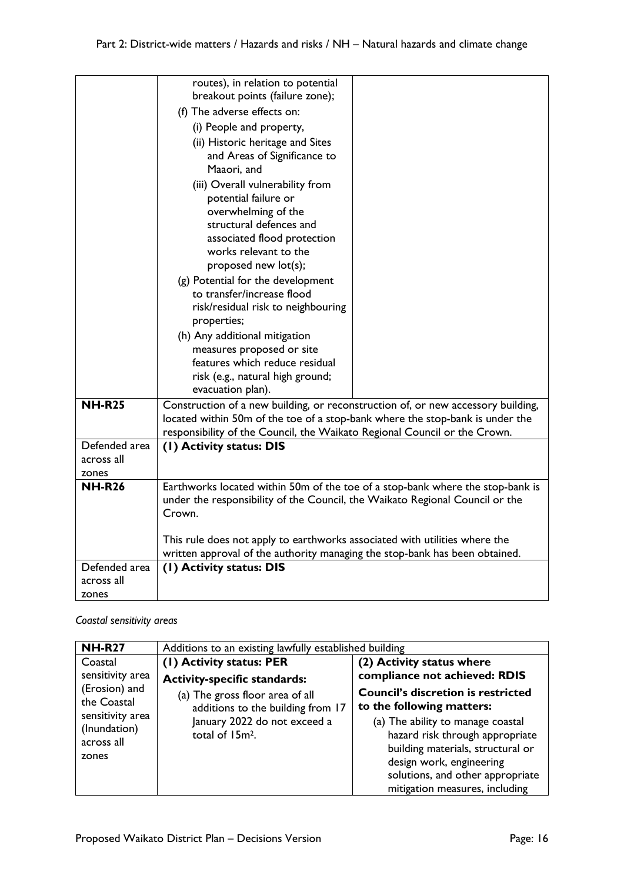|                             | routes), in relation to potential<br>breakout points (failure zone);                                    |  |
|-----------------------------|---------------------------------------------------------------------------------------------------------|--|
|                             | (f) The adverse effects on:                                                                             |  |
|                             | (i) People and property,                                                                                |  |
|                             | (ii) Historic heritage and Sites                                                                        |  |
|                             | and Areas of Significance to                                                                            |  |
|                             | Maaori, and                                                                                             |  |
|                             | (iii) Overall vulnerability from                                                                        |  |
|                             | potential failure or                                                                                    |  |
|                             | overwhelming of the                                                                                     |  |
|                             | structural defences and<br>associated flood protection                                                  |  |
|                             | works relevant to the                                                                                   |  |
|                             | proposed new lot(s);                                                                                    |  |
|                             | (g) Potential for the development                                                                       |  |
|                             | to transfer/increase flood                                                                              |  |
|                             | risk/residual risk to neighbouring                                                                      |  |
|                             | properties;                                                                                             |  |
|                             | (h) Any additional mitigation                                                                           |  |
|                             | measures proposed or site                                                                               |  |
|                             | features which reduce residual<br>risk (e.g., natural high ground;                                      |  |
|                             | evacuation plan).                                                                                       |  |
| <b>NH-R25</b>               | Construction of a new building, or reconstruction of, or new accessory building,                        |  |
|                             | located within 50m of the toe of a stop-bank where the stop-bank is under the                           |  |
|                             | responsibility of the Council, the Waikato Regional Council or the Crown.                               |  |
| Defended area<br>across all | (1) Activity status: DIS                                                                                |  |
| zones                       |                                                                                                         |  |
| <b>NH-R26</b>               | Earthworks located within 50m of the toe of a stop-bank where the stop-bank is                          |  |
|                             | under the responsibility of the Council, the Waikato Regional Council or the                            |  |
|                             | Crown.                                                                                                  |  |
|                             |                                                                                                         |  |
|                             | This rule does not apply to earthworks associated with utilities where the                              |  |
| Defended area               | written approval of the authority managing the stop-bank has been obtained.<br>(I) Activity status: DIS |  |
| across all                  |                                                                                                         |  |
| zones                       |                                                                                                         |  |

*Coastal sensitivity areas*

| <b>NH-R27</b>                | Additions to an existing lawfully established building |                                           |
|------------------------------|--------------------------------------------------------|-------------------------------------------|
| Coastal                      | (1) Activity status: PER                               | (2) Activity status where                 |
| sensitivity area             | <b>Activity-specific standards:</b>                    | compliance not achieved: RDIS             |
| (Erosion) and<br>the Coastal | (a) The gross floor area of all                        | <b>Council's discretion is restricted</b> |
| sensitivity area             | additions to the building from 17                      | to the following matters:                 |
| (Inundation)                 | January 2022 do not exceed a                           | (a) The ability to manage coastal         |
|                              | total of 15m <sup>2</sup> .                            | hazard risk through appropriate           |
| across all<br>zones          |                                                        | building materials, structural or         |
|                              |                                                        | design work, engineering                  |
|                              |                                                        | solutions, and other appropriate          |
|                              |                                                        | mitigation measures, including            |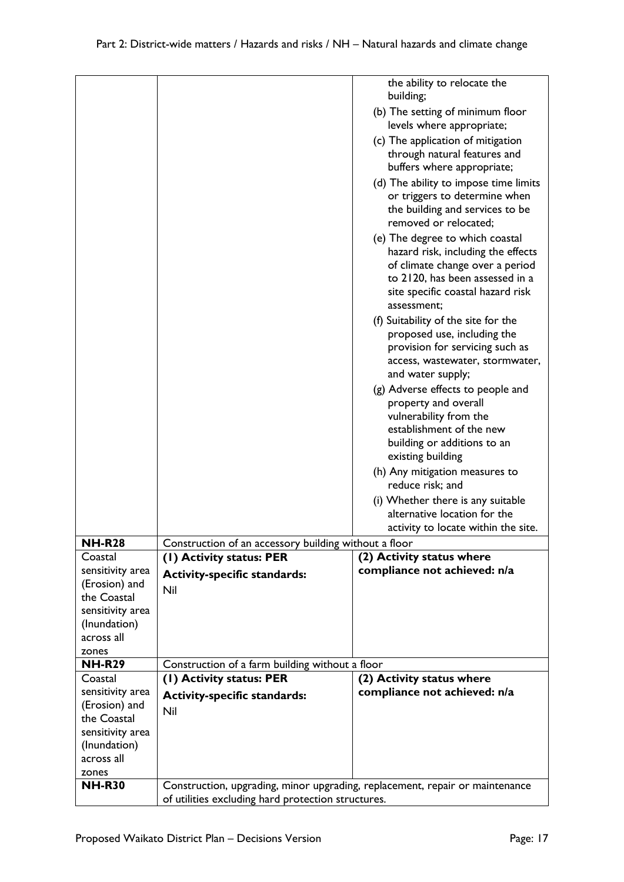|                              |                                                                                                                                    | the ability to relocate the<br>building;                       |
|------------------------------|------------------------------------------------------------------------------------------------------------------------------------|----------------------------------------------------------------|
|                              |                                                                                                                                    |                                                                |
|                              |                                                                                                                                    | (b) The setting of minimum floor                               |
|                              |                                                                                                                                    | levels where appropriate;                                      |
|                              |                                                                                                                                    | (c) The application of mitigation                              |
|                              |                                                                                                                                    | through natural features and                                   |
|                              |                                                                                                                                    | buffers where appropriate;                                     |
|                              |                                                                                                                                    | (d) The ability to impose time limits                          |
|                              |                                                                                                                                    | or triggers to determine when                                  |
|                              |                                                                                                                                    | the building and services to be                                |
|                              |                                                                                                                                    | removed or relocated;                                          |
|                              |                                                                                                                                    | (e) The degree to which coastal                                |
|                              |                                                                                                                                    | hazard risk, including the effects                             |
|                              |                                                                                                                                    | of climate change over a period                                |
|                              |                                                                                                                                    | to 2120, has been assessed in a                                |
|                              |                                                                                                                                    | site specific coastal hazard risk                              |
|                              |                                                                                                                                    | assessment:                                                    |
|                              |                                                                                                                                    | (f) Suitability of the site for the                            |
|                              |                                                                                                                                    | proposed use, including the<br>provision for servicing such as |
|                              |                                                                                                                                    | access, wastewater, stormwater,                                |
|                              |                                                                                                                                    | and water supply;                                              |
|                              |                                                                                                                                    | (g) Adverse effects to people and                              |
|                              |                                                                                                                                    | property and overall                                           |
|                              |                                                                                                                                    | vulnerability from the                                         |
|                              |                                                                                                                                    | establishment of the new                                       |
|                              |                                                                                                                                    | building or additions to an                                    |
|                              |                                                                                                                                    | existing building                                              |
|                              |                                                                                                                                    | (h) Any mitigation measures to                                 |
|                              |                                                                                                                                    | reduce risk; and                                               |
|                              |                                                                                                                                    | (i) Whether there is any suitable                              |
|                              |                                                                                                                                    | alternative location for the                                   |
|                              |                                                                                                                                    | activity to locate within the site.                            |
| <b>NH-R28</b>                | Construction of an accessory building without a floor                                                                              |                                                                |
| Coastal                      | (1) Activity status: PER                                                                                                           | (2) Activity status where                                      |
| sensitivity area             | <b>Activity-specific standards:</b>                                                                                                | compliance not achieved: n/a                                   |
| (Erosion) and<br>the Coastal | Nil                                                                                                                                |                                                                |
| sensitivity area             |                                                                                                                                    |                                                                |
| (Inundation)                 |                                                                                                                                    |                                                                |
| across all                   |                                                                                                                                    |                                                                |
| zones                        |                                                                                                                                    |                                                                |
| <b>NH-R29</b>                | Construction of a farm building without a floor                                                                                    |                                                                |
| Coastal                      | (1) Activity status: PER                                                                                                           | (2) Activity status where                                      |
| sensitivity area             | <b>Activity-specific standards:</b>                                                                                                | compliance not achieved: n/a                                   |
| (Erosion) and                | Nil                                                                                                                                |                                                                |
| the Coastal                  |                                                                                                                                    |                                                                |
| sensitivity area             |                                                                                                                                    |                                                                |
| (Inundation)                 |                                                                                                                                    |                                                                |
| across all                   |                                                                                                                                    |                                                                |
| zones<br><b>NH-R30</b>       |                                                                                                                                    |                                                                |
|                              | Construction, upgrading, minor upgrading, replacement, repair or maintenance<br>of utilities excluding hard protection structures. |                                                                |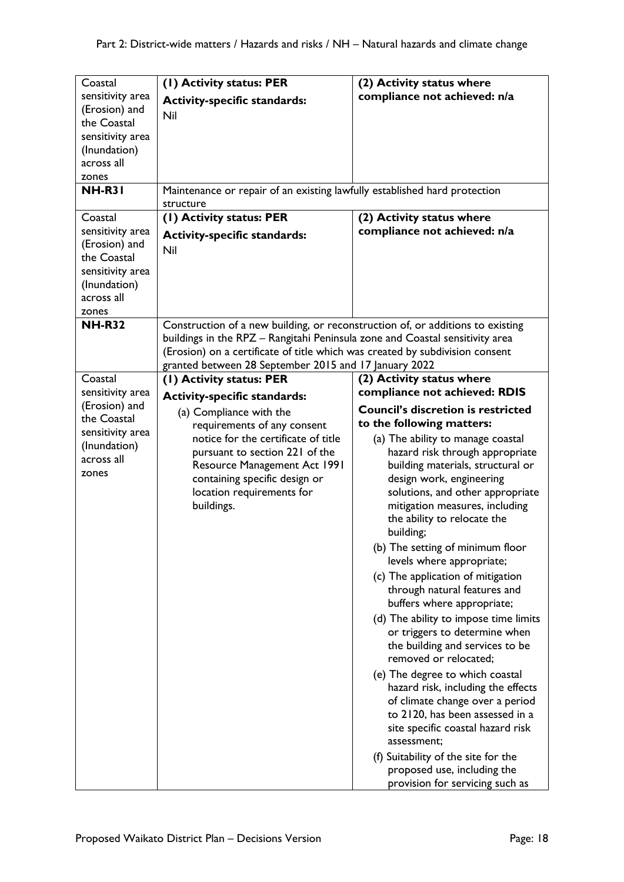| Coastal          | (1) Activity status: PER                                                       | (2) Activity status where                                     |
|------------------|--------------------------------------------------------------------------------|---------------------------------------------------------------|
| sensitivity area | <b>Activity-specific standards:</b>                                            | compliance not achieved: n/a                                  |
| (Erosion) and    | Nil                                                                            |                                                               |
| the Coastal      |                                                                                |                                                               |
| sensitivity area |                                                                                |                                                               |
| (Inundation)     |                                                                                |                                                               |
| across all       |                                                                                |                                                               |
| zones            |                                                                                |                                                               |
| <b>NH-R31</b>    | Maintenance or repair of an existing lawfully established hard protection      |                                                               |
|                  | structure                                                                      |                                                               |
| Coastal          | (1) Activity status: PER                                                       | (2) Activity status where                                     |
| sensitivity area | <b>Activity-specific standards:</b>                                            | compliance not achieved: n/a                                  |
| (Erosion) and    | Nil                                                                            |                                                               |
| the Coastal      |                                                                                |                                                               |
| sensitivity area |                                                                                |                                                               |
| (Inundation)     |                                                                                |                                                               |
| across all       |                                                                                |                                                               |
| zones            |                                                                                |                                                               |
| <b>NH-R32</b>    | Construction of a new building, or reconstruction of, or additions to existing |                                                               |
|                  | buildings in the RPZ - Rangitahi Peninsula zone and Coastal sensitivity area   |                                                               |
|                  | (Erosion) on a certificate of title which was created by subdivision consent   |                                                               |
|                  | granted between 28 September 2015 and 17 January 2022                          |                                                               |
| Coastal          | (1) Activity status: PER                                                       | (2) Activity status where                                     |
| sensitivity area | <b>Activity-specific standards:</b>                                            | compliance not achieved: RDIS                                 |
| (Erosion) and    |                                                                                | <b>Council's discretion is restricted</b>                     |
| the Coastal      | (a) Compliance with the<br>requirements of any consent                         | to the following matters:                                     |
| sensitivity area | notice for the certificate of title                                            |                                                               |
| (Inundation)     | pursuant to section 221 of the                                                 | (a) The ability to manage coastal                             |
| across all       |                                                                                | hazard risk through appropriate                               |
| zones            | Resource Management Act 1991                                                   | building materials, structural or<br>design work, engineering |
|                  | containing specific design or<br>location requirements for                     | solutions, and other appropriate                              |
|                  | buildings.                                                                     |                                                               |
|                  |                                                                                | mitigation measures, including                                |
|                  |                                                                                | the ability to relocate the                                   |
|                  |                                                                                | building;                                                     |
|                  |                                                                                | (b) The setting of minimum floor                              |
|                  |                                                                                | levels where appropriate;                                     |
|                  |                                                                                | (c) The application of mitigation                             |
|                  |                                                                                | through natural features and                                  |
|                  |                                                                                | buffers where appropriate;                                    |
|                  |                                                                                | (d) The ability to impose time limits                         |
|                  |                                                                                | or triggers to determine when                                 |
|                  |                                                                                | the building and services to be                               |
|                  |                                                                                | removed or relocated;                                         |
|                  |                                                                                | (e) The degree to which coastal                               |
|                  |                                                                                | hazard risk, including the effects                            |
|                  |                                                                                | of climate change over a period                               |
|                  |                                                                                | to 2120, has been assessed in a                               |
|                  |                                                                                | site specific coastal hazard risk                             |
|                  |                                                                                | assessment:                                                   |
|                  |                                                                                | (f) Suitability of the site for the                           |
|                  |                                                                                | proposed use, including the                                   |
|                  |                                                                                |                                                               |
|                  |                                                                                | provision for servicing such as                               |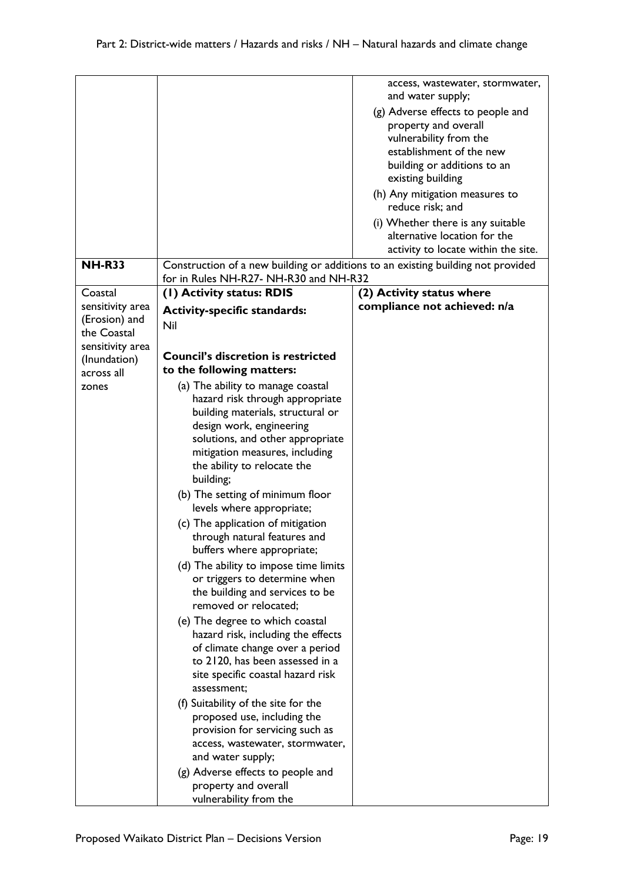|                            |                                                                                                                            | access, wastewater, stormwater,                           |
|----------------------------|----------------------------------------------------------------------------------------------------------------------------|-----------------------------------------------------------|
|                            |                                                                                                                            | and water supply;                                         |
|                            |                                                                                                                            | (g) Adverse effects to people and<br>property and overall |
|                            |                                                                                                                            | vulnerability from the                                    |
|                            |                                                                                                                            | establishment of the new                                  |
|                            |                                                                                                                            | building or additions to an                               |
|                            |                                                                                                                            | existing building                                         |
|                            |                                                                                                                            | (h) Any mitigation measures to                            |
|                            |                                                                                                                            | reduce risk; and                                          |
|                            |                                                                                                                            | (i) Whether there is any suitable                         |
|                            |                                                                                                                            | alternative location for the                              |
|                            |                                                                                                                            | activity to locate within the site.                       |
| <b>NH-R33</b>              | Construction of a new building or additions to an existing building not provided<br>for in Rules NH-R27- NH-R30 and NH-R32 |                                                           |
| Coastal                    | (I) Activity status: RDIS                                                                                                  | (2) Activity status where                                 |
| sensitivity area           | <b>Activity-specific standards:</b>                                                                                        | compliance not achieved: n/a                              |
| (Erosion) and              | Nil                                                                                                                        |                                                           |
| the Coastal                |                                                                                                                            |                                                           |
| sensitivity area           | <b>Council's discretion is restricted</b>                                                                                  |                                                           |
| (Inundation)<br>across all | to the following matters:                                                                                                  |                                                           |
| zones                      | (a) The ability to manage coastal                                                                                          |                                                           |
|                            | hazard risk through appropriate                                                                                            |                                                           |
|                            | building materials, structural or                                                                                          |                                                           |
|                            | design work, engineering                                                                                                   |                                                           |
|                            | solutions, and other appropriate                                                                                           |                                                           |
|                            | mitigation measures, including                                                                                             |                                                           |
|                            | the ability to relocate the                                                                                                |                                                           |
|                            | building;                                                                                                                  |                                                           |
|                            | (b) The setting of minimum floor                                                                                           |                                                           |
|                            | levels where appropriate;                                                                                                  |                                                           |
|                            | (c) The application of mitigation                                                                                          |                                                           |
|                            | through natural features and<br>buffers where appropriate;                                                                 |                                                           |
|                            |                                                                                                                            |                                                           |
|                            | (d) The ability to impose time limits<br>or triggers to determine when                                                     |                                                           |
|                            | the building and services to be                                                                                            |                                                           |
|                            | removed or relocated;                                                                                                      |                                                           |
|                            | (e) The degree to which coastal                                                                                            |                                                           |
|                            | hazard risk, including the effects                                                                                         |                                                           |
|                            | of climate change over a period                                                                                            |                                                           |
|                            | to 2120, has been assessed in a                                                                                            |                                                           |
|                            | site specific coastal hazard risk                                                                                          |                                                           |
|                            | assessment;                                                                                                                |                                                           |
|                            | (f) Suitability of the site for the                                                                                        |                                                           |
|                            | proposed use, including the                                                                                                |                                                           |
|                            | provision for servicing such as                                                                                            |                                                           |
|                            | access, wastewater, stormwater,                                                                                            |                                                           |
|                            | and water supply;                                                                                                          |                                                           |
|                            | (g) Adverse effects to people and<br>property and overall                                                                  |                                                           |
|                            | vulnerability from the                                                                                                     |                                                           |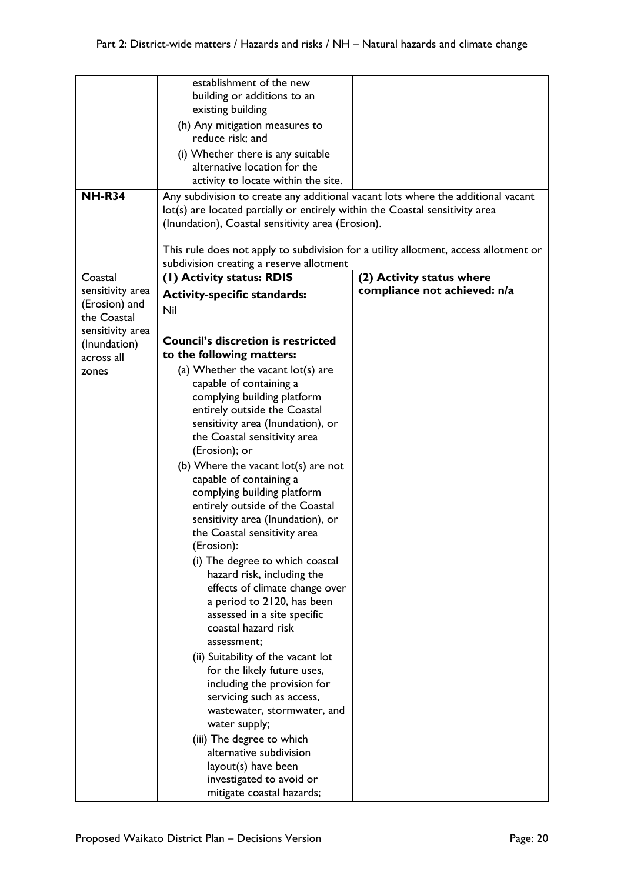|                  | establishment of the new                                                         |                                                                                      |
|------------------|----------------------------------------------------------------------------------|--------------------------------------------------------------------------------------|
|                  | building or additions to an                                                      |                                                                                      |
|                  | existing building                                                                |                                                                                      |
|                  | (h) Any mitigation measures to                                                   |                                                                                      |
|                  | reduce risk; and                                                                 |                                                                                      |
|                  | (i) Whether there is any suitable                                                |                                                                                      |
|                  | alternative location for the                                                     |                                                                                      |
|                  | activity to locate within the site.                                              |                                                                                      |
| <b>NH-R34</b>    | Any subdivision to create any additional vacant lots where the additional vacant |                                                                                      |
|                  | lot(s) are located partially or entirely within the Coastal sensitivity area     |                                                                                      |
|                  | (Inundation), Coastal sensitivity area (Erosion).                                |                                                                                      |
|                  |                                                                                  | This rule does not apply to subdivision for a utility allotment, access allotment or |
|                  | subdivision creating a reserve allotment                                         |                                                                                      |
| Coastal          | (1) Activity status: RDIS                                                        | (2) Activity status where                                                            |
| sensitivity area | <b>Activity-specific standards:</b>                                              | compliance not achieved: n/a                                                         |
| (Erosion) and    | Nil                                                                              |                                                                                      |
| the Coastal      |                                                                                  |                                                                                      |
| sensitivity area |                                                                                  |                                                                                      |
| (Inundation)     | <b>Council's discretion is restricted</b>                                        |                                                                                      |
| across all       | to the following matters:                                                        |                                                                                      |
| zones            | (a) Whether the vacant $lot(s)$ are                                              |                                                                                      |
|                  | capable of containing a<br>complying building platform                           |                                                                                      |
|                  | entirely outside the Coastal                                                     |                                                                                      |
|                  | sensitivity area (Inundation), or                                                |                                                                                      |
|                  | the Coastal sensitivity area                                                     |                                                                                      |
|                  | (Erosion); or                                                                    |                                                                                      |
|                  | (b) Where the vacant lot(s) are not                                              |                                                                                      |
|                  | capable of containing a                                                          |                                                                                      |
|                  | complying building platform                                                      |                                                                                      |
|                  | entirely outside of the Coastal                                                  |                                                                                      |
|                  | sensitivity area (Inundation), or                                                |                                                                                      |
|                  | the Coastal sensitivity area                                                     |                                                                                      |
|                  | (Erosion):                                                                       |                                                                                      |
|                  | (i) The degree to which coastal                                                  |                                                                                      |
|                  | hazard risk, including the<br>effects of climate change over                     |                                                                                      |
|                  | a period to 2120, has been                                                       |                                                                                      |
|                  | assessed in a site specific                                                      |                                                                                      |
|                  | coastal hazard risk                                                              |                                                                                      |
|                  | assessment;                                                                      |                                                                                      |
|                  | (ii) Suitability of the vacant lot                                               |                                                                                      |
|                  | for the likely future uses,                                                      |                                                                                      |
|                  | including the provision for                                                      |                                                                                      |
|                  | servicing such as access,                                                        |                                                                                      |
|                  | wastewater, stormwater, and                                                      |                                                                                      |
|                  | water supply;                                                                    |                                                                                      |
|                  | (iii) The degree to which                                                        |                                                                                      |
|                  | alternative subdivision                                                          |                                                                                      |
|                  | layout(s) have been                                                              |                                                                                      |
|                  | investigated to avoid or<br>mitigate coastal hazards;                            |                                                                                      |
|                  |                                                                                  |                                                                                      |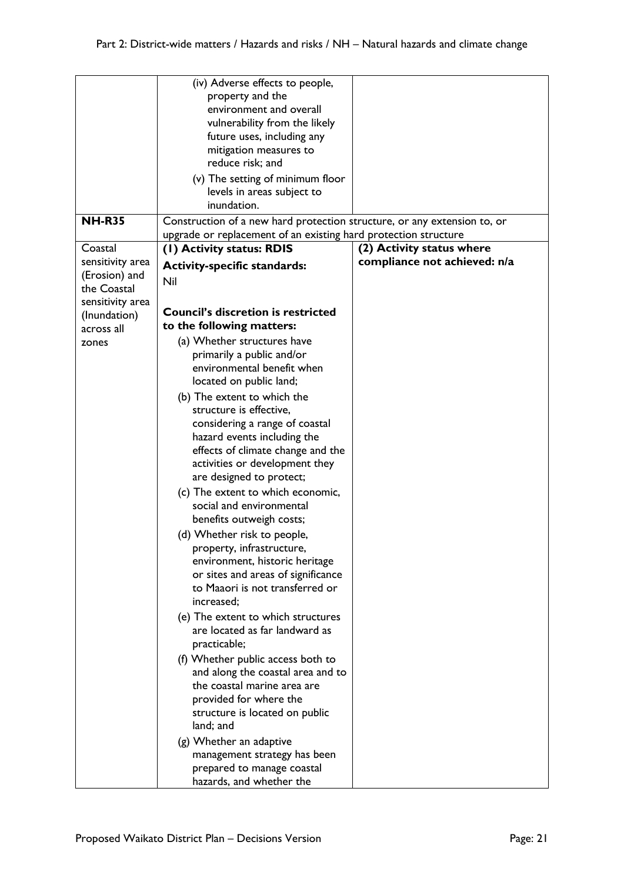|                  | (iv) Adverse effects to people,                                          |                              |
|------------------|--------------------------------------------------------------------------|------------------------------|
|                  | property and the                                                         |                              |
|                  | environment and overall                                                  |                              |
|                  | vulnerability from the likely                                            |                              |
|                  | future uses, including any                                               |                              |
|                  | mitigation measures to                                                   |                              |
|                  | reduce risk; and                                                         |                              |
|                  |                                                                          |                              |
|                  | (v) The setting of minimum floor                                         |                              |
|                  | levels in areas subject to                                               |                              |
|                  | inundation.                                                              |                              |
| <b>NH-R35</b>    | Construction of a new hard protection structure, or any extension to, or |                              |
|                  | upgrade or replacement of an existing hard protection structure          |                              |
| Coastal          | (I) Activity status: RDIS                                                | (2) Activity status where    |
| sensitivity area |                                                                          | compliance not achieved: n/a |
|                  | <b>Activity-specific standards:</b>                                      |                              |
| (Erosion) and    | Nil                                                                      |                              |
| the Coastal      |                                                                          |                              |
| sensitivity area |                                                                          |                              |
| (Inundation)     | <b>Council's discretion is restricted</b>                                |                              |
| across all       | to the following matters:                                                |                              |
| zones            | (a) Whether structures have                                              |                              |
|                  | primarily a public and/or                                                |                              |
|                  | environmental benefit when                                               |                              |
|                  | located on public land;                                                  |                              |
|                  | (b) The extent to which the                                              |                              |
|                  |                                                                          |                              |
|                  | structure is effective,                                                  |                              |
|                  | considering a range of coastal                                           |                              |
|                  | hazard events including the                                              |                              |
|                  | effects of climate change and the                                        |                              |
|                  | activities or development they                                           |                              |
|                  | are designed to protect;                                                 |                              |
|                  | (c) The extent to which economic,                                        |                              |
|                  | social and environmental                                                 |                              |
|                  | benefits outweigh costs;                                                 |                              |
|                  |                                                                          |                              |
|                  | (d) Whether risk to people,                                              |                              |
|                  | property, infrastructure,                                                |                              |
|                  | environment, historic heritage                                           |                              |
|                  | or sites and areas of significance                                       |                              |
|                  | to Maaori is not transferred or                                          |                              |
|                  | increased;                                                               |                              |
|                  | (e) The extent to which structures                                       |                              |
|                  | are located as far landward as                                           |                              |
|                  | practicable;                                                             |                              |
|                  | (f) Whether public access both to                                        |                              |
|                  |                                                                          |                              |
|                  | and along the coastal area and to                                        |                              |
|                  | the coastal marine area are                                              |                              |
|                  | provided for where the                                                   |                              |
|                  | structure is located on public                                           |                              |
|                  | land; and                                                                |                              |
|                  | (g) Whether an adaptive                                                  |                              |
|                  | management strategy has been                                             |                              |
|                  | prepared to manage coastal                                               |                              |
|                  | hazards, and whether the                                                 |                              |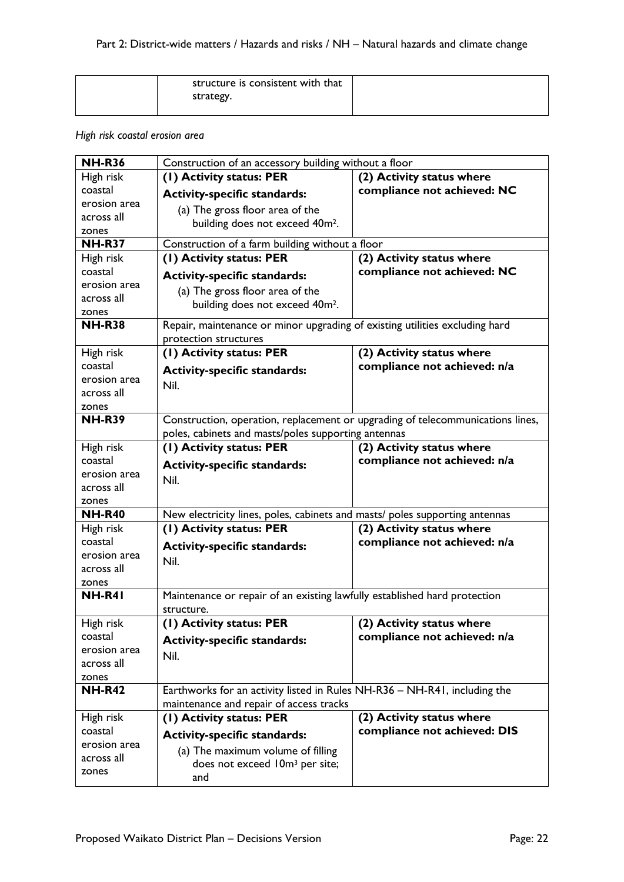| structure is consistent with that |  |
|-----------------------------------|--|
| strategy.                         |  |
|                                   |  |

## *High risk coastal erosion area*

| <b>NH-R36</b>              | Construction of an accessory building without a floor                          |                              |
|----------------------------|--------------------------------------------------------------------------------|------------------------------|
| High risk                  | (I) Activity status: PER                                                       | (2) Activity status where    |
| coastal                    | <b>Activity-specific standards:</b>                                            | compliance not achieved: NC  |
| erosion area               | (a) The gross floor area of the                                                |                              |
| across all                 | building does not exceed 40m <sup>2</sup> .                                    |                              |
| zones                      |                                                                                |                              |
| <b>NH-R37</b>              | Construction of a farm building without a floor                                |                              |
| High risk                  | (1) Activity status: PER                                                       | (2) Activity status where    |
| coastal<br>erosion area    | <b>Activity-specific standards:</b>                                            | compliance not achieved: NC  |
| across all                 | (a) The gross floor area of the                                                |                              |
| zones                      | building does not exceed 40m <sup>2</sup> .                                    |                              |
| <b>NH-R38</b>              | Repair, maintenance or minor upgrading of existing utilities excluding hard    |                              |
|                            | protection structures                                                          |                              |
| High risk                  | (I) Activity status: PER                                                       | (2) Activity status where    |
| coastal                    | <b>Activity-specific standards:</b>                                            | compliance not achieved: n/a |
| erosion area               | Nil.                                                                           |                              |
| across all                 |                                                                                |                              |
| zones                      |                                                                                |                              |
| <b>NH-R39</b>              | Construction, operation, replacement or upgrading of telecommunications lines, |                              |
|                            | poles, cabinets and masts/poles supporting antennas                            |                              |
| High risk                  | (1) Activity status: PER                                                       | (2) Activity status where    |
| coastal                    | <b>Activity-specific standards:</b>                                            | compliance not achieved: n/a |
| erosion area<br>across all | Nil.                                                                           |                              |
| zones                      |                                                                                |                              |
| <b>NH-R40</b>              | New electricity lines, poles, cabinets and masts/ poles supporting antennas    |                              |
| High risk                  | (1) Activity status: PER                                                       | (2) Activity status where    |
| coastal                    | <b>Activity-specific standards:</b>                                            | compliance not achieved: n/a |
| erosion area               |                                                                                |                              |
| across all                 | Nil.                                                                           |                              |
| zones                      |                                                                                |                              |
| NH-R41                     | Maintenance or repair of an existing lawfully established hard protection      |                              |
|                            | structure.                                                                     |                              |
| High risk                  | (I) Activity status: PER                                                       | (2) Activity status where    |
| coastal                    | <b>Activity-specific standards:</b>                                            | compliance not achieved: n/a |
| erosion area               | Nil.                                                                           |                              |
| across all                 |                                                                                |                              |
| zones<br><b>NH-R42</b>     | Earthworks for an activity listed in Rules NH-R36 - NH-R41, including the      |                              |
|                            | maintenance and repair of access tracks                                        |                              |
| High risk                  | (1) Activity status: PER                                                       | (2) Activity status where    |
| coastal                    |                                                                                | compliance not achieved: DIS |
| erosion area               | <b>Activity-specific standards:</b>                                            |                              |
| across all                 | (a) The maximum volume of filling                                              |                              |
| zones                      | does not exceed 10m <sup>3</sup> per site;                                     |                              |
|                            | and                                                                            |                              |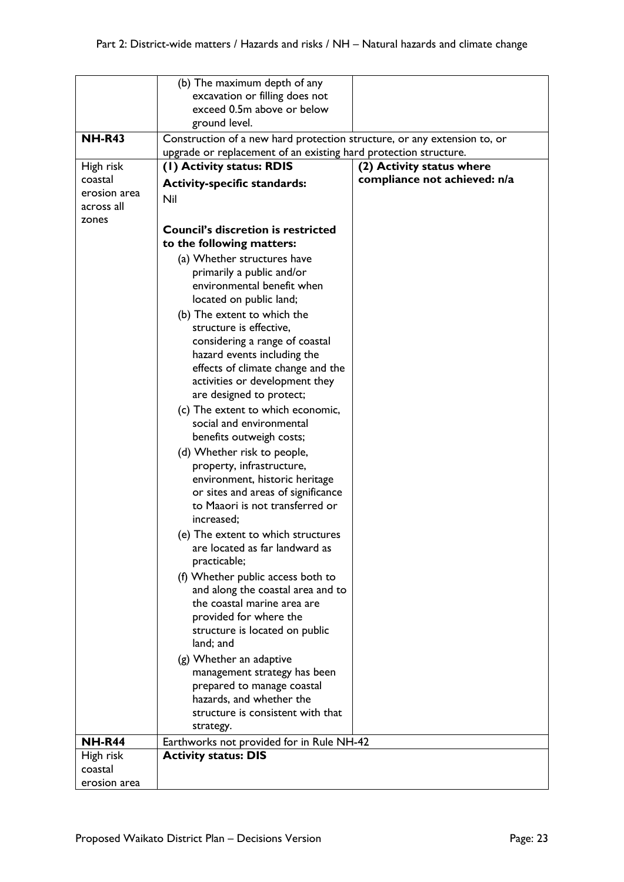|                     | (b) The maximum depth of any                                                                                                                 |                              |
|---------------------|----------------------------------------------------------------------------------------------------------------------------------------------|------------------------------|
|                     | excavation or filling does not                                                                                                               |                              |
|                     | exceed 0.5m above or below                                                                                                                   |                              |
| <b>NH-R43</b>       | ground level.                                                                                                                                |                              |
|                     | Construction of a new hard protection structure, or any extension to, or<br>upgrade or replacement of an existing hard protection structure. |                              |
| High risk           | (1) Activity status: RDIS                                                                                                                    | (2) Activity status where    |
| coastal             | <b>Activity-specific standards:</b>                                                                                                          | compliance not achieved: n/a |
| erosion area        | Nil                                                                                                                                          |                              |
| across all<br>zones |                                                                                                                                              |                              |
|                     | <b>Council's discretion is restricted</b><br>to the following matters:                                                                       |                              |
|                     | (a) Whether structures have                                                                                                                  |                              |
|                     | primarily a public and/or                                                                                                                    |                              |
|                     | environmental benefit when<br>located on public land;                                                                                        |                              |
|                     | (b) The extent to which the                                                                                                                  |                              |
|                     | structure is effective,                                                                                                                      |                              |
|                     | considering a range of coastal                                                                                                               |                              |
|                     | hazard events including the<br>effects of climate change and the                                                                             |                              |
|                     | activities or development they                                                                                                               |                              |
|                     | are designed to protect;                                                                                                                     |                              |
|                     | (c) The extent to which economic,                                                                                                            |                              |
|                     | social and environmental                                                                                                                     |                              |
|                     | benefits outweigh costs;                                                                                                                     |                              |
|                     | (d) Whether risk to people,                                                                                                                  |                              |
|                     | property, infrastructure,<br>environment, historic heritage                                                                                  |                              |
|                     | or sites and areas of significance                                                                                                           |                              |
|                     | to Maaori is not transferred or                                                                                                              |                              |
|                     | increased;                                                                                                                                   |                              |
|                     | (e) The extent to which structures                                                                                                           |                              |
|                     | are located as far landward as                                                                                                               |                              |
|                     | practicable;                                                                                                                                 |                              |
|                     | (f) Whether public access both to<br>and along the coastal area and to                                                                       |                              |
|                     | the coastal marine area are                                                                                                                  |                              |
|                     | provided for where the                                                                                                                       |                              |
|                     | structure is located on public                                                                                                               |                              |
|                     | land; and                                                                                                                                    |                              |
|                     | (g) Whether an adaptive                                                                                                                      |                              |
|                     | management strategy has been                                                                                                                 |                              |
|                     | prepared to manage coastal<br>hazards, and whether the                                                                                       |                              |
|                     | structure is consistent with that                                                                                                            |                              |
|                     | strategy.                                                                                                                                    |                              |
| <b>NH-R44</b>       | Earthworks not provided for in Rule NH-42                                                                                                    |                              |
| High risk           | <b>Activity status: DIS</b>                                                                                                                  |                              |
| coastal             |                                                                                                                                              |                              |
| erosion area        |                                                                                                                                              |                              |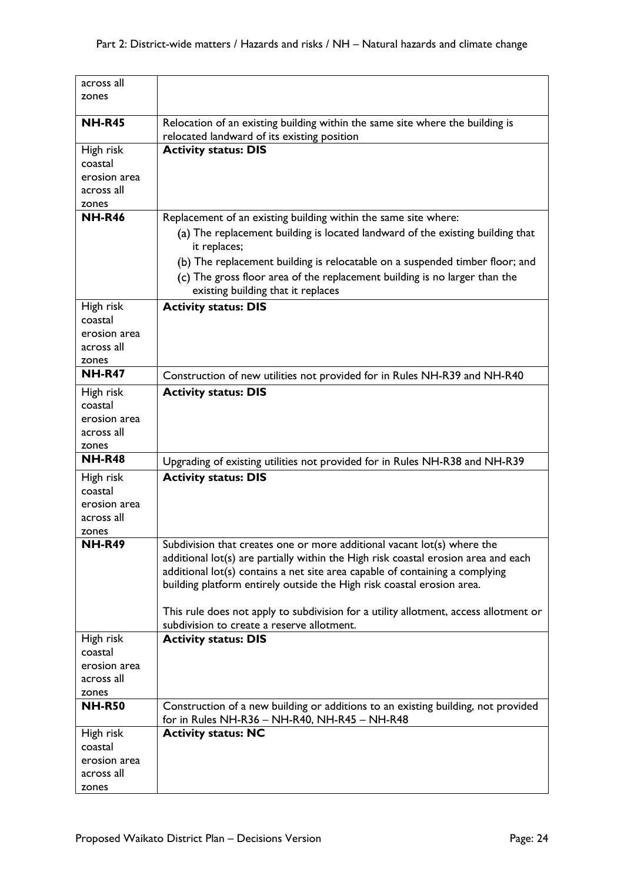| across all             |                                                                                                                  |
|------------------------|------------------------------------------------------------------------------------------------------------------|
| zones                  |                                                                                                                  |
| <b>NH-R45</b>          | Relocation of an existing building within the same site where the building is                                    |
|                        | relocated landward of its existing position                                                                      |
| High risk              | <b>Activity status: DIS</b>                                                                                      |
| coastal                |                                                                                                                  |
| erosion area           |                                                                                                                  |
| across all             |                                                                                                                  |
| zones                  |                                                                                                                  |
| <b>NH-R46</b>          | Replacement of an existing building within the same site where:                                                  |
|                        | (a) The replacement building is located landward of the existing building that<br>it replaces;                   |
|                        | (b) The replacement building is relocatable on a suspended timber floor; and                                     |
|                        | (c) The gross floor area of the replacement building is no larger than the<br>existing building that it replaces |
| High risk              | <b>Activity status: DIS</b>                                                                                      |
| coastal                |                                                                                                                  |
| erosion area           |                                                                                                                  |
| across all             |                                                                                                                  |
| zones                  |                                                                                                                  |
| <b>NH-R47</b>          | Construction of new utilities not provided for in Rules NH-R39 and NH-R40                                        |
| High risk              | <b>Activity status: DIS</b>                                                                                      |
| coastal                |                                                                                                                  |
| erosion area           |                                                                                                                  |
| across all             |                                                                                                                  |
| zones                  |                                                                                                                  |
| <b>NH-R48</b>          | Upgrading of existing utilities not provided for in Rules NH-R38 and NH-R39                                      |
| High risk              | <b>Activity status: DIS</b>                                                                                      |
| coastal                |                                                                                                                  |
| erosion area           |                                                                                                                  |
| across all             |                                                                                                                  |
| zones                  |                                                                                                                  |
| <b>NH-R49</b>          | Subdivision that creates one or more additional vacant lot(s) where the                                          |
|                        | additional lot(s) are partially within the High risk coastal erosion area and each                               |
|                        | additional lot(s) contains a net site area capable of containing a complying                                     |
|                        | building platform entirely outside the High risk coastal erosion area.                                           |
|                        |                                                                                                                  |
|                        | This rule does not apply to subdivision for a utility allotment, access allotment or                             |
|                        | subdivision to create a reserve allotment.                                                                       |
| High risk              | <b>Activity status: DIS</b>                                                                                      |
| coastal                |                                                                                                                  |
| erosion area           |                                                                                                                  |
| across all             |                                                                                                                  |
| zones<br><b>NH-R50</b> | Construction of a new building or additions to an existing building, not provided                                |
|                        | for in Rules NH-R36 - NH-R40, NH-R45 - NH-R48                                                                    |
| High risk              | <b>Activity status: NC</b>                                                                                       |
| coastal                |                                                                                                                  |
| erosion area           |                                                                                                                  |
| across all             |                                                                                                                  |
| zones                  |                                                                                                                  |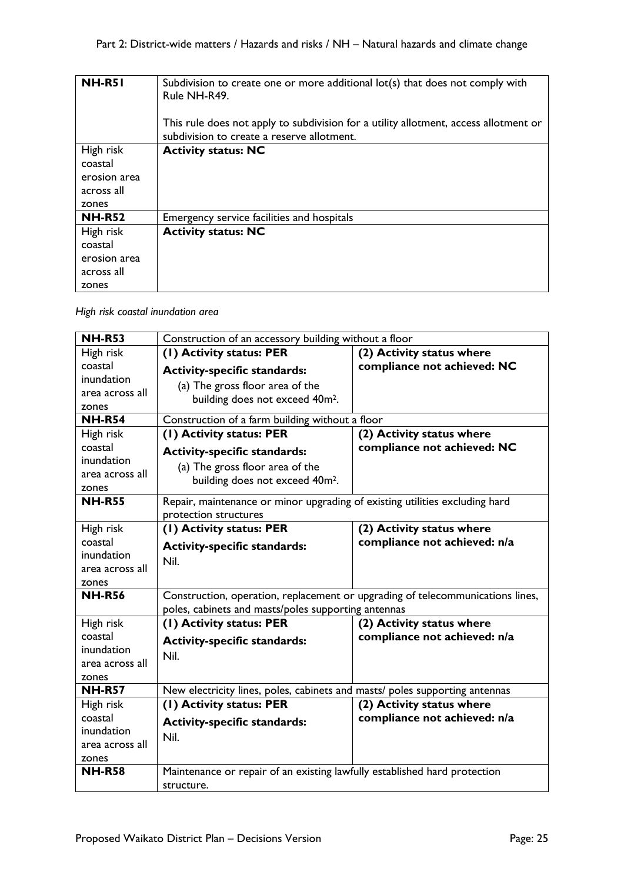| <b>NH-R51</b> | Subdivision to create one or more additional lot(s) that does not comply with<br>Rule NH-R49.                                      |
|---------------|------------------------------------------------------------------------------------------------------------------------------------|
|               | This rule does not apply to subdivision for a utility allotment, access allotment or<br>subdivision to create a reserve allotment. |
| High risk     | <b>Activity status: NC</b>                                                                                                         |
| coastal       |                                                                                                                                    |
| erosion area  |                                                                                                                                    |
| across all    |                                                                                                                                    |
| zones         |                                                                                                                                    |
| <b>NH-R52</b> | Emergency service facilities and hospitals                                                                                         |
| High risk     | <b>Activity status: NC</b>                                                                                                         |
| coastal       |                                                                                                                                    |
| erosion area  |                                                                                                                                    |
| across all    |                                                                                                                                    |
| zones         |                                                                                                                                    |

## *High risk coastal inundation area*

| <b>NH-R53</b>          | Construction of an accessory building without a floor                                                |                              |
|------------------------|------------------------------------------------------------------------------------------------------|------------------------------|
| High risk              | (1) Activity status: PER                                                                             | (2) Activity status where    |
| coastal                | <b>Activity-specific standards:</b>                                                                  | compliance not achieved: NC  |
| inundation             | (a) The gross floor area of the                                                                      |                              |
| area across all        | building does not exceed 40m <sup>2</sup> .                                                          |                              |
| zones                  |                                                                                                      |                              |
| $NH-R54$               | Construction of a farm building without a floor                                                      |                              |
| High risk              | (I) Activity status: PER                                                                             | (2) Activity status where    |
| coastal                | <b>Activity-specific standards:</b>                                                                  | compliance not achieved: NC  |
| inundation             | (a) The gross floor area of the                                                                      |                              |
| area across all        | building does not exceed 40m <sup>2</sup> .                                                          |                              |
| zones<br><b>NH-R55</b> |                                                                                                      |                              |
|                        | Repair, maintenance or minor upgrading of existing utilities excluding hard<br>protection structures |                              |
| High risk              | (1) Activity status: PER                                                                             | (2) Activity status where    |
| coastal                |                                                                                                      | compliance not achieved: n/a |
| inundation             | <b>Activity-specific standards:</b>                                                                  |                              |
| area across all        | Nil.                                                                                                 |                              |
| zones                  |                                                                                                      |                              |
| <b>NH-R56</b>          | Construction, operation, replacement or upgrading of telecommunications lines,                       |                              |
|                        | poles, cabinets and masts/poles supporting antennas                                                  |                              |
| High risk              | (I) Activity status: PER                                                                             | (2) Activity status where    |
| coastal                | <b>Activity-specific standards:</b>                                                                  | compliance not achieved: n/a |
| inundation             | Nil.                                                                                                 |                              |
| area across all        |                                                                                                      |                              |
| zones                  |                                                                                                      |                              |
| <b>NH-R57</b>          | New electricity lines, poles, cabinets and masts/ poles supporting antennas                          |                              |
| High risk              | (1) Activity status: PER                                                                             | (2) Activity status where    |
| coastal                | <b>Activity-specific standards:</b>                                                                  | compliance not achieved: n/a |
| inundation             | Nil.                                                                                                 |                              |
| area across all        |                                                                                                      |                              |
| zones                  |                                                                                                      |                              |
| <b>NH-R58</b>          | Maintenance or repair of an existing lawfully established hard protection                            |                              |
|                        | structure.                                                                                           |                              |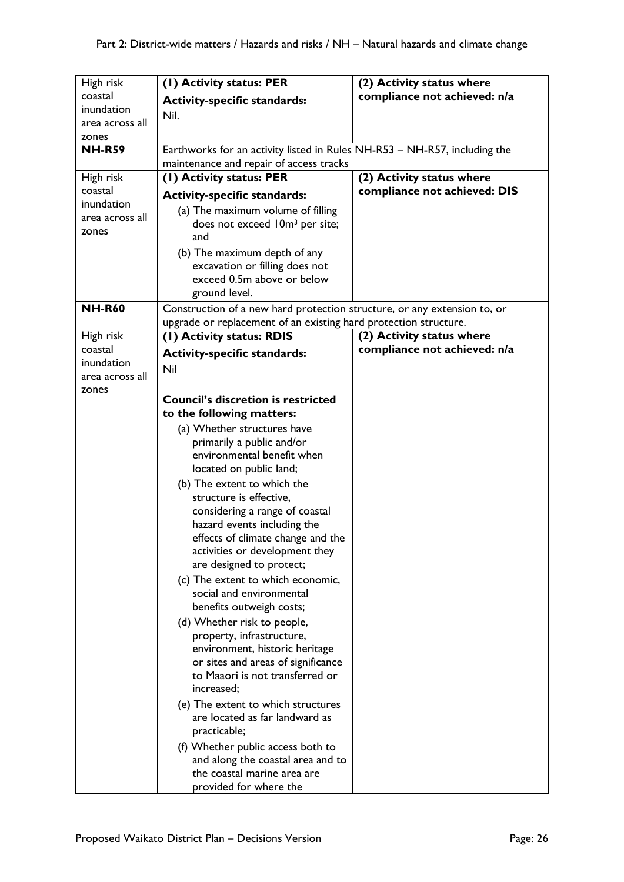| High risk       | (1) Activity status: PER                                                                                             | (2) Activity status where    |
|-----------------|----------------------------------------------------------------------------------------------------------------------|------------------------------|
| coastal         | <b>Activity-specific standards:</b>                                                                                  | compliance not achieved: n/a |
| inundation      | Nil.                                                                                                                 |                              |
| area across all |                                                                                                                      |                              |
| zones           |                                                                                                                      |                              |
| <b>NH-R59</b>   | Earthworks for an activity listed in Rules NH-R53 - NH-R57, including the<br>maintenance and repair of access tracks |                              |
| High risk       | (1) Activity status: PER                                                                                             | (2) Activity status where    |
| coastal         |                                                                                                                      | compliance not achieved: DIS |
| inundation      | <b>Activity-specific standards:</b>                                                                                  |                              |
| area across all | (a) The maximum volume of filling                                                                                    |                              |
| zones           | does not exceed 10m <sup>3</sup> per site;                                                                           |                              |
|                 | and                                                                                                                  |                              |
|                 | (b) The maximum depth of any                                                                                         |                              |
|                 | excavation or filling does not                                                                                       |                              |
|                 | exceed 0.5m above or below                                                                                           |                              |
|                 | ground level.                                                                                                        |                              |
| <b>NH-R60</b>   | Construction of a new hard protection structure, or any extension to, or                                             |                              |
|                 | upgrade or replacement of an existing hard protection structure.                                                     |                              |
| High risk       | (1) Activity status: RDIS                                                                                            | (2) Activity status where    |
| coastal         | <b>Activity-specific standards:</b>                                                                                  | compliance not achieved: n/a |
| inundation      | Nil                                                                                                                  |                              |
| area across all |                                                                                                                      |                              |
| zones           | <b>Council's discretion is restricted</b>                                                                            |                              |
|                 | to the following matters:                                                                                            |                              |
|                 |                                                                                                                      |                              |
|                 | (a) Whether structures have<br>primarily a public and/or                                                             |                              |
|                 | environmental benefit when                                                                                           |                              |
|                 | located on public land;                                                                                              |                              |
|                 | (b) The extent to which the                                                                                          |                              |
|                 | structure is effective,                                                                                              |                              |
|                 | considering a range of coastal                                                                                       |                              |
|                 | hazard events including the                                                                                          |                              |
|                 | effects of climate change and the                                                                                    |                              |
|                 | activities or development they                                                                                       |                              |
|                 | are designed to protect;                                                                                             |                              |
|                 | (c) The extent to which economic,                                                                                    |                              |
|                 | social and environmental                                                                                             |                              |
|                 | benefits outweigh costs;                                                                                             |                              |
|                 | (d) Whether risk to people,                                                                                          |                              |
|                 | property, infrastructure,                                                                                            |                              |
|                 | environment, historic heritage                                                                                       |                              |
|                 | or sites and areas of significance                                                                                   |                              |
|                 | to Maaori is not transferred or                                                                                      |                              |
|                 | increased;                                                                                                           |                              |
|                 | (e) The extent to which structures                                                                                   |                              |
|                 | are located as far landward as                                                                                       |                              |
|                 | practicable;                                                                                                         |                              |
|                 | (f) Whether public access both to                                                                                    |                              |
|                 | and along the coastal area and to                                                                                    |                              |
|                 | the coastal marine area are                                                                                          |                              |
|                 | provided for where the                                                                                               |                              |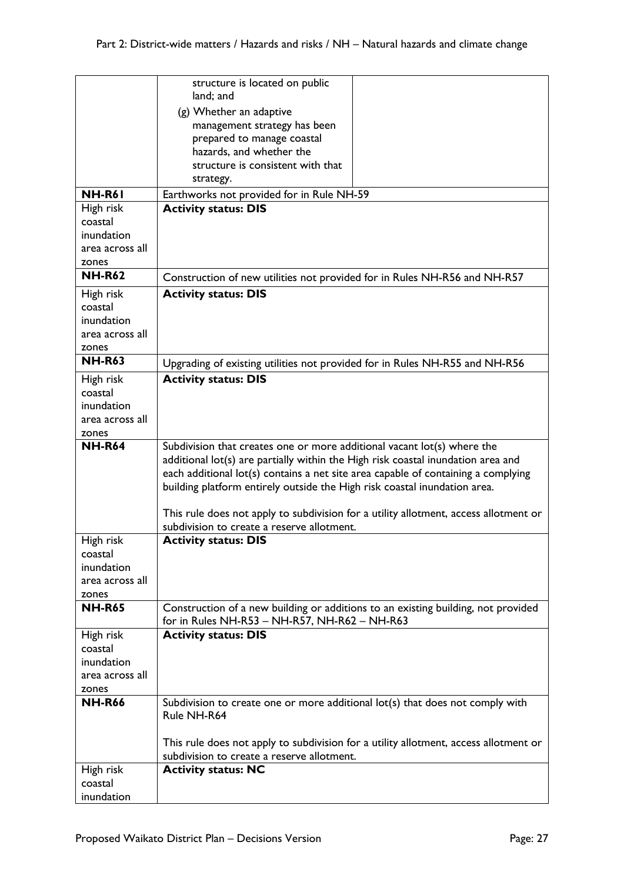|                        | structure is located on public                                                                                                                                        |
|------------------------|-----------------------------------------------------------------------------------------------------------------------------------------------------------------------|
|                        | land; and                                                                                                                                                             |
|                        | (g) Whether an adaptive                                                                                                                                               |
|                        | management strategy has been                                                                                                                                          |
|                        | prepared to manage coastal<br>hazards, and whether the                                                                                                                |
|                        | structure is consistent with that                                                                                                                                     |
|                        | strategy.                                                                                                                                                             |
| <b>NH-R61</b>          | Earthworks not provided for in Rule NH-59                                                                                                                             |
| High risk              | <b>Activity status: DIS</b>                                                                                                                                           |
| coastal                |                                                                                                                                                                       |
| inundation             |                                                                                                                                                                       |
| area across all        |                                                                                                                                                                       |
| zones                  |                                                                                                                                                                       |
| <b>NH-R62</b>          | Construction of new utilities not provided for in Rules NH-R56 and NH-R57                                                                                             |
| High risk              | <b>Activity status: DIS</b>                                                                                                                                           |
| coastal                |                                                                                                                                                                       |
| inundation             |                                                                                                                                                                       |
| area across all        |                                                                                                                                                                       |
| zones<br><b>NH-R63</b> |                                                                                                                                                                       |
|                        | Upgrading of existing utilities not provided for in Rules NH-R55 and NH-R56                                                                                           |
| High risk              | <b>Activity status: DIS</b>                                                                                                                                           |
| coastal<br>inundation  |                                                                                                                                                                       |
| area across all        |                                                                                                                                                                       |
|                        |                                                                                                                                                                       |
|                        |                                                                                                                                                                       |
| zones                  |                                                                                                                                                                       |
| <b>NH-R64</b>          | Subdivision that creates one or more additional vacant lot(s) where the                                                                                               |
|                        | additional lot(s) are partially within the High risk coastal inundation area and<br>each additional lot(s) contains a net site area capable of containing a complying |
|                        | building platform entirely outside the High risk coastal inundation area.                                                                                             |
|                        |                                                                                                                                                                       |
|                        | This rule does not apply to subdivision for a utility allotment, access allotment or                                                                                  |
|                        | subdivision to create a reserve allotment.<br><b>Activity status: DIS</b>                                                                                             |
| High risk<br>coastal   |                                                                                                                                                                       |
| inundation             |                                                                                                                                                                       |
| area across all        |                                                                                                                                                                       |
| zones                  |                                                                                                                                                                       |
| <b>NH-R65</b>          | Construction of a new building or additions to an existing building, not provided<br>for in Rules NH-R53 - NH-R57, NH-R62 - NH-R63                                    |
| High risk              | <b>Activity status: DIS</b>                                                                                                                                           |
| coastal                |                                                                                                                                                                       |
| inundation             |                                                                                                                                                                       |
| area across all        |                                                                                                                                                                       |
| zones                  |                                                                                                                                                                       |
| <b>NH-R66</b>          | Subdivision to create one or more additional lot(s) that does not comply with<br>Rule NH-R64                                                                          |
|                        |                                                                                                                                                                       |
|                        | This rule does not apply to subdivision for a utility allotment, access allotment or                                                                                  |
|                        | subdivision to create a reserve allotment.                                                                                                                            |
| High risk              | <b>Activity status: NC</b>                                                                                                                                            |
| coastal<br>inundation  |                                                                                                                                                                       |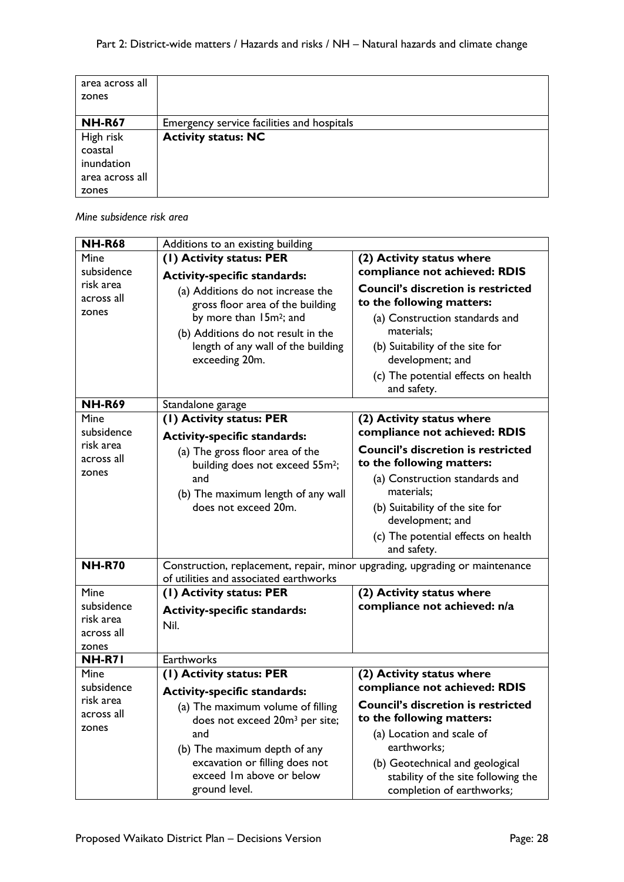| area across all |                                            |
|-----------------|--------------------------------------------|
| zones           |                                            |
| <b>NH-R67</b>   | Emergency service facilities and hospitals |
| High risk       | <b>Activity status: NC</b>                 |
| coastal         |                                            |
| inundation      |                                            |
| area across all |                                            |
| zones           |                                            |

*Mine subsidence risk area*

| <b>NH-R68</b> | Additions to an existing building                                            |                                                           |
|---------------|------------------------------------------------------------------------------|-----------------------------------------------------------|
| Mine          | (1) Activity status: PER                                                     | (2) Activity status where                                 |
| subsidence    | <b>Activity-specific standards:</b>                                          | compliance not achieved: RDIS                             |
| risk area     | (a) Additions do not increase the                                            | <b>Council's discretion is restricted</b>                 |
| across all    | gross floor area of the building                                             | to the following matters:                                 |
| zones         | by more than 15m <sup>2</sup> ; and                                          | (a) Construction standards and                            |
|               | (b) Additions do not result in the                                           | materials;                                                |
|               | length of any wall of the building                                           | (b) Suitability of the site for                           |
|               | exceeding 20m.                                                               | development; and                                          |
|               |                                                                              | (c) The potential effects on health                       |
|               |                                                                              | and safety.                                               |
| <b>NH-R69</b> | Standalone garage                                                            |                                                           |
| Mine          | (1) Activity status: PER                                                     | (2) Activity status where                                 |
| subsidence    | <b>Activity-specific standards:</b>                                          | compliance not achieved: RDIS                             |
| risk area     | (a) The gross floor area of the                                              | <b>Council's discretion is restricted</b>                 |
| across all    | building does not exceed 55m <sup>2</sup> ;                                  | to the following matters:                                 |
| zones         | and                                                                          | (a) Construction standards and                            |
|               | (b) The maximum length of any wall                                           | materials;                                                |
|               | does not exceed 20m.                                                         | (b) Suitability of the site for                           |
|               |                                                                              | development; and                                          |
|               |                                                                              | (c) The potential effects on health                       |
|               |                                                                              | and safety.                                               |
| <b>NH-R70</b> | Construction, replacement, repair, minor upgrading, upgrading or maintenance |                                                           |
| Mine          | of utilities and associated earthworks                                       |                                                           |
| subsidence    | (1) Activity status: PER                                                     | (2) Activity status where<br>compliance not achieved: n/a |
| risk area     | <b>Activity-specific standards:</b>                                          |                                                           |
| across all    | Nil.                                                                         |                                                           |
| zones         |                                                                              |                                                           |
| <b>NH-R71</b> | Earthworks                                                                   |                                                           |
| Mine          | (I) Activity status: PER                                                     | (2) Activity status where                                 |
| subsidence    | <b>Activity-specific standards:</b>                                          | compliance not achieved: RDIS                             |
| risk area     | (a) The maximum volume of filling                                            | <b>Council's discretion is restricted</b>                 |
| across all    | does not exceed 20m <sup>3</sup> per site;                                   | to the following matters:                                 |
| zones         | and                                                                          | (a) Location and scale of                                 |
|               | (b) The maximum depth of any                                                 | earthworks;                                               |
|               | excavation or filling does not                                               | (b) Geotechnical and geological                           |
|               | exceed Im above or below                                                     | stability of the site following the                       |
|               | ground level.                                                                | completion of earthworks;                                 |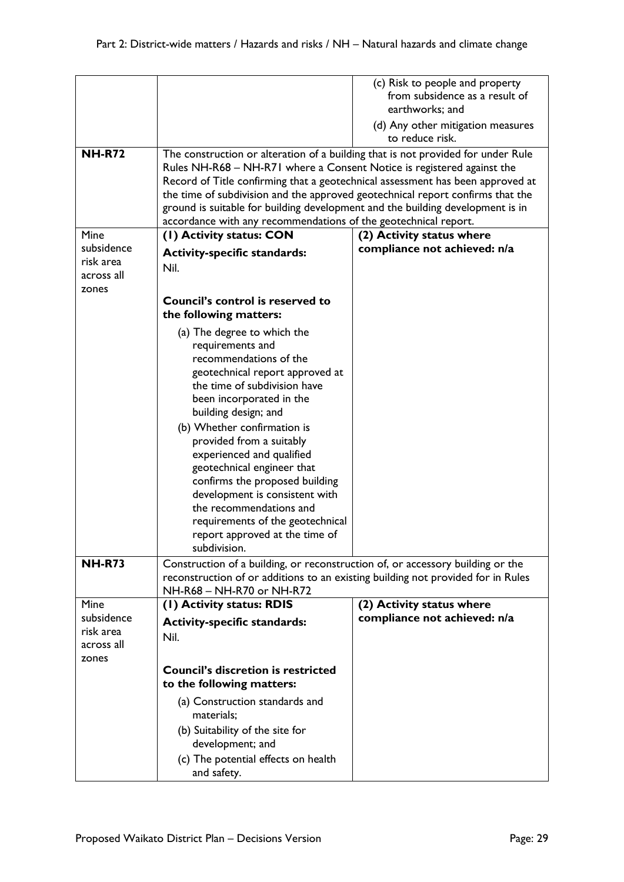| <b>NH-R72</b>                                  | The construction or alteration of a building that is not provided for under Rule<br>Rules NH-R68 - NH-R71 where a Consent Notice is registered against the<br>Record of Title confirming that a geotechnical assessment has been approved at<br>the time of subdivision and the approved geotechnical report confirms that the<br>ground is suitable for building development and the building development is in                                                                                            | (c) Risk to people and property<br>from subsidence as a result of<br>earthworks; and<br>(d) Any other mitigation measures<br>to reduce risk. |
|------------------------------------------------|-------------------------------------------------------------------------------------------------------------------------------------------------------------------------------------------------------------------------------------------------------------------------------------------------------------------------------------------------------------------------------------------------------------------------------------------------------------------------------------------------------------|----------------------------------------------------------------------------------------------------------------------------------------------|
|                                                | accordance with any recommendations of the geotechnical report.                                                                                                                                                                                                                                                                                                                                                                                                                                             |                                                                                                                                              |
| Mine                                           | (I) Activity status: CON                                                                                                                                                                                                                                                                                                                                                                                                                                                                                    | (2) Activity status where                                                                                                                    |
| subsidence<br>risk area<br>across all<br>zones | <b>Activity-specific standards:</b><br>Nil.                                                                                                                                                                                                                                                                                                                                                                                                                                                                 | compliance not achieved: n/a                                                                                                                 |
|                                                | Council's control is reserved to<br>the following matters:                                                                                                                                                                                                                                                                                                                                                                                                                                                  |                                                                                                                                              |
|                                                | (a) The degree to which the<br>requirements and<br>recommendations of the<br>geotechnical report approved at<br>the time of subdivision have<br>been incorporated in the<br>building design; and<br>(b) Whether confirmation is<br>provided from a suitably<br>experienced and qualified<br>geotechnical engineer that<br>confirms the proposed building<br>development is consistent with<br>the recommendations and<br>requirements of the geotechnical<br>report approved at the time of<br>subdivision. |                                                                                                                                              |
| <b>NH-R73</b>                                  | Construction of a building, or reconstruction of, or accessory building or the<br>reconstruction of or additions to an existing building not provided for in Rules<br>NH-R68 - NH-R70 or NH-R72                                                                                                                                                                                                                                                                                                             |                                                                                                                                              |
| Mine                                           | (I) Activity status: RDIS                                                                                                                                                                                                                                                                                                                                                                                                                                                                                   | (2) Activity status where                                                                                                                    |
| subsidence<br>risk area<br>across all<br>zones | <b>Activity-specific standards:</b><br>Nil.                                                                                                                                                                                                                                                                                                                                                                                                                                                                 | compliance not achieved: n/a                                                                                                                 |
|                                                | <b>Council's discretion is restricted</b><br>to the following matters:                                                                                                                                                                                                                                                                                                                                                                                                                                      |                                                                                                                                              |
|                                                | (a) Construction standards and<br>materials;<br>(b) Suitability of the site for<br>development; and<br>(c) The potential effects on health                                                                                                                                                                                                                                                                                                                                                                  |                                                                                                                                              |
|                                                | and safety.                                                                                                                                                                                                                                                                                                                                                                                                                                                                                                 |                                                                                                                                              |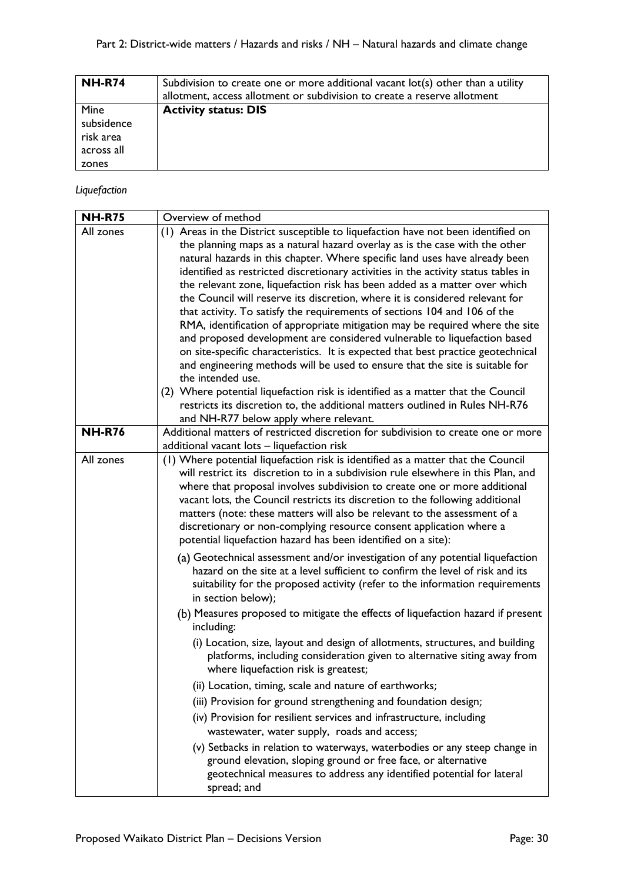| <b>NH-R74</b>                                          | Subdivision to create one or more additional vacant lot(s) other than a utility<br>allotment, access allotment or subdivision to create a reserve allotment |
|--------------------------------------------------------|-------------------------------------------------------------------------------------------------------------------------------------------------------------|
| Mine<br>subsidence<br>risk area<br>across all<br>zones | <b>Activity status: DIS</b>                                                                                                                                 |

## *Liquefaction*

| <b>NH-R75</b> | Overview of method                                                                                                                                                                                                                                                                                                                                                                                                                                                                                                                                                                                                                                                                                                                                                                                                                                                                                                                                                                                                        |
|---------------|---------------------------------------------------------------------------------------------------------------------------------------------------------------------------------------------------------------------------------------------------------------------------------------------------------------------------------------------------------------------------------------------------------------------------------------------------------------------------------------------------------------------------------------------------------------------------------------------------------------------------------------------------------------------------------------------------------------------------------------------------------------------------------------------------------------------------------------------------------------------------------------------------------------------------------------------------------------------------------------------------------------------------|
| All zones     | (1) Areas in the District susceptible to liquefaction have not been identified on<br>the planning maps as a natural hazard overlay as is the case with the other<br>natural hazards in this chapter. Where specific land uses have already been<br>identified as restricted discretionary activities in the activity status tables in<br>the relevant zone, liquefaction risk has been added as a matter over which<br>the Council will reserve its discretion, where it is considered relevant for<br>that activity. To satisfy the requirements of sections 104 and 106 of the<br>RMA, identification of appropriate mitigation may be required where the site<br>and proposed development are considered vulnerable to liquefaction based<br>on site-specific characteristics. It is expected that best practice geotechnical<br>and engineering methods will be used to ensure that the site is suitable for<br>the intended use.<br>(2) Where potential liquefaction risk is identified as a matter that the Council |
|               | restricts its discretion to, the additional matters outlined in Rules NH-R76<br>and NH-R77 below apply where relevant.                                                                                                                                                                                                                                                                                                                                                                                                                                                                                                                                                                                                                                                                                                                                                                                                                                                                                                    |
| <b>NH-R76</b> | Additional matters of restricted discretion for subdivision to create one or more<br>additional vacant lots - liquefaction risk                                                                                                                                                                                                                                                                                                                                                                                                                                                                                                                                                                                                                                                                                                                                                                                                                                                                                           |
| All zones     | (1) Where potential liquefaction risk is identified as a matter that the Council<br>will restrict its discretion to in a subdivision rule elsewhere in this Plan, and<br>where that proposal involves subdivision to create one or more additional<br>vacant lots, the Council restricts its discretion to the following additional<br>matters (note: these matters will also be relevant to the assessment of a<br>discretionary or non-complying resource consent application where a<br>potential liquefaction hazard has been identified on a site):                                                                                                                                                                                                                                                                                                                                                                                                                                                                  |
|               | (a) Geotechnical assessment and/or investigation of any potential liquefaction<br>hazard on the site at a level sufficient to confirm the level of risk and its<br>suitability for the proposed activity (refer to the information requirements<br>in section below);                                                                                                                                                                                                                                                                                                                                                                                                                                                                                                                                                                                                                                                                                                                                                     |
|               | (b) Measures proposed to mitigate the effects of liquefaction hazard if present<br>including:<br>(i) Location, size, layout and design of allotments, structures, and building                                                                                                                                                                                                                                                                                                                                                                                                                                                                                                                                                                                                                                                                                                                                                                                                                                            |
|               | platforms, including consideration given to alternative siting away from<br>where liquefaction risk is greatest;                                                                                                                                                                                                                                                                                                                                                                                                                                                                                                                                                                                                                                                                                                                                                                                                                                                                                                          |
|               | (ii) Location, timing, scale and nature of earthworks;                                                                                                                                                                                                                                                                                                                                                                                                                                                                                                                                                                                                                                                                                                                                                                                                                                                                                                                                                                    |
|               | (iii) Provision for ground strengthening and foundation design;                                                                                                                                                                                                                                                                                                                                                                                                                                                                                                                                                                                                                                                                                                                                                                                                                                                                                                                                                           |
|               | (iv) Provision for resilient services and infrastructure, including<br>wastewater, water supply, roads and access;                                                                                                                                                                                                                                                                                                                                                                                                                                                                                                                                                                                                                                                                                                                                                                                                                                                                                                        |
|               | (v) Setbacks in relation to waterways, waterbodies or any steep change in<br>ground elevation, sloping ground or free face, or alternative<br>geotechnical measures to address any identified potential for lateral<br>spread; and                                                                                                                                                                                                                                                                                                                                                                                                                                                                                                                                                                                                                                                                                                                                                                                        |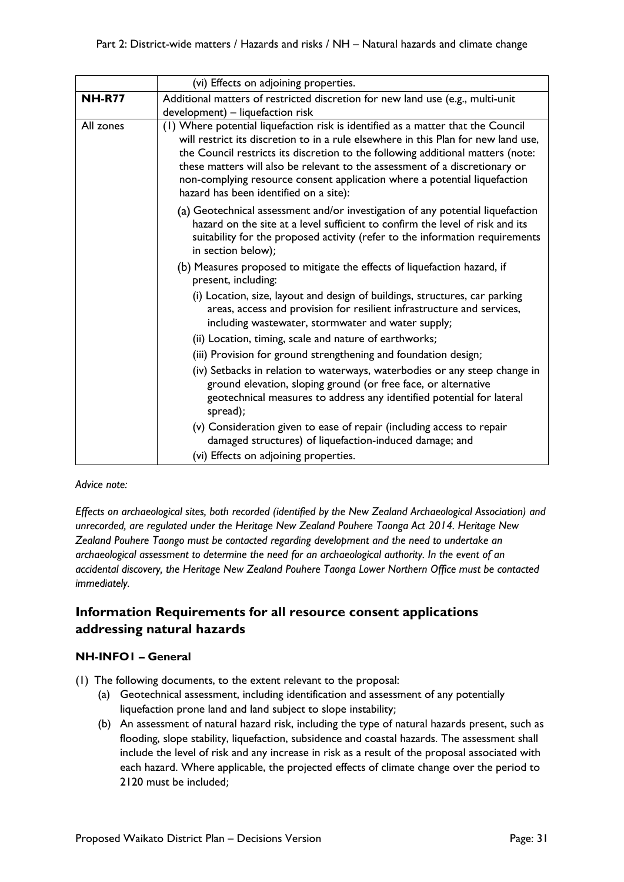|               | (vi) Effects on adjoining properties.                                                                                                                                                                                                                                                                                                                                                                                                                           |
|---------------|-----------------------------------------------------------------------------------------------------------------------------------------------------------------------------------------------------------------------------------------------------------------------------------------------------------------------------------------------------------------------------------------------------------------------------------------------------------------|
| <b>NH-R77</b> | Additional matters of restricted discretion for new land use (e.g., multi-unit<br>development) - liquefaction risk                                                                                                                                                                                                                                                                                                                                              |
| All zones     | (1) Where potential liquefaction risk is identified as a matter that the Council<br>will restrict its discretion to in a rule elsewhere in this Plan for new land use,<br>the Council restricts its discretion to the following additional matters (note:<br>these matters will also be relevant to the assessment of a discretionary or<br>non-complying resource consent application where a potential liquefaction<br>hazard has been identified on a site): |
|               | (a) Geotechnical assessment and/or investigation of any potential liquefaction<br>hazard on the site at a level sufficient to confirm the level of risk and its<br>suitability for the proposed activity (refer to the information requirements<br>in section below);                                                                                                                                                                                           |
|               | (b) Measures proposed to mitigate the effects of liquefaction hazard, if<br>present, including:                                                                                                                                                                                                                                                                                                                                                                 |
|               | (i) Location, size, layout and design of buildings, structures, car parking<br>areas, access and provision for resilient infrastructure and services,<br>including wastewater, stormwater and water supply;                                                                                                                                                                                                                                                     |
|               | (ii) Location, timing, scale and nature of earthworks;                                                                                                                                                                                                                                                                                                                                                                                                          |
|               | (iii) Provision for ground strengthening and foundation design;                                                                                                                                                                                                                                                                                                                                                                                                 |
|               | (iv) Setbacks in relation to waterways, waterbodies or any steep change in<br>ground elevation, sloping ground (or free face, or alternative<br>geotechnical measures to address any identified potential for lateral<br>spread);                                                                                                                                                                                                                               |
|               | (v) Consideration given to ease of repair (including access to repair<br>damaged structures) of liquefaction-induced damage; and                                                                                                                                                                                                                                                                                                                                |
|               | (vi) Effects on adjoining properties.                                                                                                                                                                                                                                                                                                                                                                                                                           |

#### *Advice note:*

*Effects on archaeological sites, both recorded (identified by the New Zealand Archaeological Association) and unrecorded, are regulated under the Heritage New Zealand Pouhere Taonga Act 2014. Heritage New Zealand Pouhere Taongo must be contacted regarding development and the need to undertake an archaeological assessment to determine the need for an archaeological authority. In the event of an accidental discovery, the Heritage New Zealand Pouhere Taonga Lower Northern Office must be contacted immediately.*

## **Information Requirements for all resource consent applications addressing natural hazards**

#### **NH-INFO1 – General**

- (1) The following documents, to the extent relevant to the proposal:
	- (a) Geotechnical assessment, including identification and assessment of any potentially liquefaction prone land and land subject to slope instability;
	- (b) An assessment of natural hazard risk, including the type of natural hazards present, such as flooding, slope stability, liquefaction, subsidence and coastal hazards. The assessment shall include the level of risk and any increase in risk as a result of the proposal associated with each hazard. Where applicable, the projected effects of climate change over the period to 2120 must be included;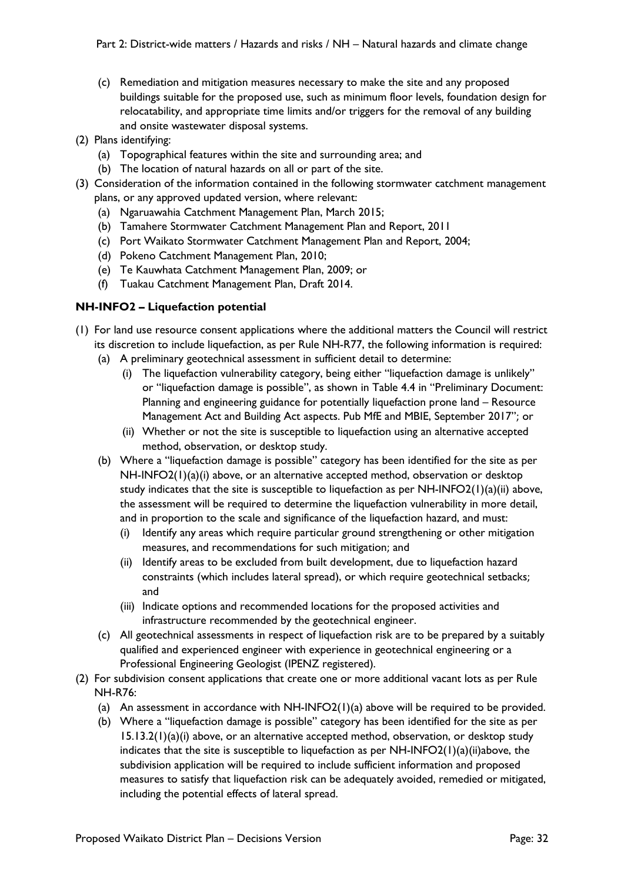- (c) Remediation and mitigation measures necessary to make the site and any proposed buildings suitable for the proposed use, such as minimum floor levels, foundation design for relocatability, and appropriate time limits and/or triggers for the removal of any building and onsite wastewater disposal systems.
- (2) Plans identifying:
	- (a) Topographical features within the site and surrounding area; and
	- (b) The location of natural hazards on all or part of the site.
- (3) Consideration of the information contained in the following stormwater catchment management plans, or any approved updated version, where relevant:
	- (a) Ngaruawahia Catchment Management Plan, March 2015;
	- (b) Tamahere Stormwater Catchment Management Plan and Report, 2011
	- (c) Port Waikato Stormwater Catchment Management Plan and Report, 2004;
	- (d) Pokeno Catchment Management Plan, 2010;
	- (e) Te Kauwhata Catchment Management Plan, 2009; or
	- (f) Tuakau Catchment Management Plan, Draft 2014.

#### **NH-INFO2 – Liquefaction potential**

- (1) For land use resource consent applications where the additional matters the Council will restrict its discretion to include liquefaction, as per Rule NH-R77, the following information is required:
	- (a) A preliminary geotechnical assessment in sufficient detail to determine:
		- (i) The liquefaction vulnerability category, being either "liquefaction damage is unlikely" or "liquefaction damage is possible", as shown in Table 4.4 in "Preliminary Document: Planning and engineering guidance for potentially liquefaction prone land – Resource Management Act and Building Act aspects. Pub MfE and MBIE, September 2017"; or
		- (ii) Whether or not the site is susceptible to liquefaction using an alternative accepted method, observation, or desktop study.
	- (b) Where a "liquefaction damage is possible" category has been identified for the site as per NH-INFO2(1)(a)(i) above, or an alternative accepted method, observation or desktop study indicates that the site is susceptible to liquefaction as per NH-INFO2(1)(a)(ii) above, the assessment will be required to determine the liquefaction vulnerability in more detail, and in proportion to the scale and significance of the liquefaction hazard, and must:
		- (i) Identify any areas which require particular ground strengthening or other mitigation measures, and recommendations for such mitigation; and
		- (ii) Identify areas to be excluded from built development, due to liquefaction hazard constraints (which includes lateral spread), or which require geotechnical setbacks; and
		- (iii) Indicate options and recommended locations for the proposed activities and infrastructure recommended by the geotechnical engineer.
	- (c) All geotechnical assessments in respect of liquefaction risk are to be prepared by a suitably qualified and experienced engineer with experience in geotechnical engineering or a Professional Engineering Geologist (IPENZ registered).
- (2) For subdivision consent applications that create one or more additional vacant lots as per Rule NH-R76:
	- (a) An assessment in accordance with  $NH-INFO2(1)(a)$  above will be required to be provided.
	- (b) Where a "liquefaction damage is possible" category has been identified for the site as per  $15.13.2(1)(a)(i)$  above, or an alternative accepted method, observation, or desktop study indicates that the site is susceptible to liquefaction as per  $NH-INFO2(1)(a)(ii)$ above, the subdivision application will be required to include sufficient information and proposed measures to satisfy that liquefaction risk can be adequately avoided, remedied or mitigated, including the potential effects of lateral spread.